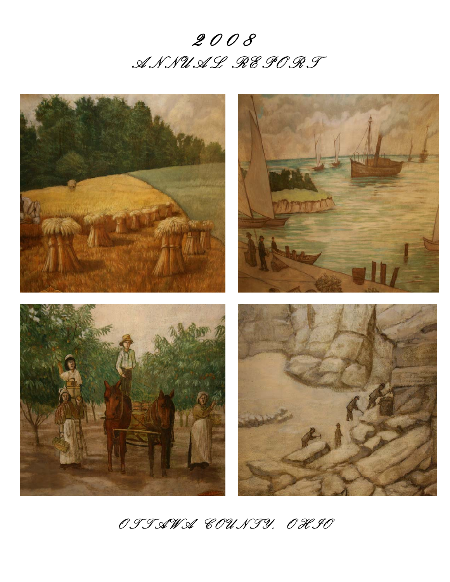



*O T T A W A C O U N T Y , O H I O*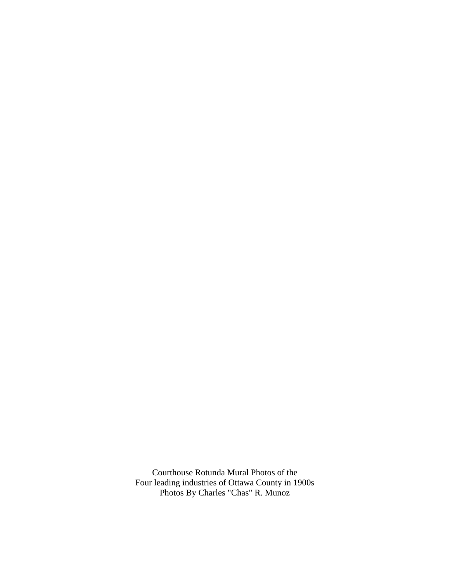Courthouse Rotunda Mural Photos of the Four leading industries of Ottawa County in 1900s Photos By Charles "Chas" R. Munoz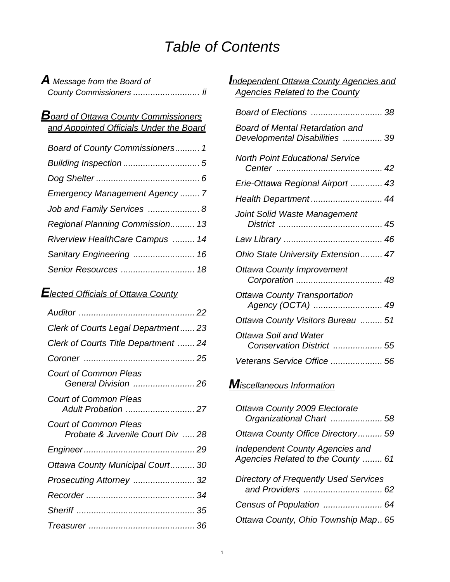# *Table of Contents*

| $\boldsymbol{A}$ Message from the Board of |  |
|--------------------------------------------|--|
| County Commissioners  ii                   |  |

# *Board of Ottawa County Commissioners and Appointed Officials Under the Board*

| Board of County Commissioners 1 |
|---------------------------------|
|                                 |
|                                 |
| Emergency Management Agency  7  |
| Job and Family Services  8      |
| Regional Planning Commission 13 |
| Riverview HealthCare Campus  14 |
| Sanitary Engineering  16        |
|                                 |

# *Elected Officials of Ottawa County*

| Clerk of Courts Legal Department23                               |
|------------------------------------------------------------------|
| Clerk of Courts Title Department  24                             |
|                                                                  |
| <b>Court of Common Pleas</b><br>General Division  26             |
| <b>Court of Common Pleas</b>                                     |
| <b>Court of Common Pleas</b><br>Probate & Juvenile Court Div  28 |
|                                                                  |
| Ottawa County Municipal Court 30                                 |
| Prosecuting Attorney  32                                         |
|                                                                  |
|                                                                  |
|                                                                  |

### *Independent Ottawa County Agencies and Agencies Related to the County*

| <b>Board of Mental Retardation and</b><br>Developmental Disabilities  39 |
|--------------------------------------------------------------------------|
| <b>North Point Educational Service</b>                                   |
| Erie-Ottawa Regional Airport  43                                         |
| Health Department 44                                                     |
| Joint Solid Waste Management                                             |
|                                                                          |
| Ohio State University Extension 47                                       |
| <b>Ottawa County Improvement</b>                                         |
| <b>Ottawa County Transportation</b><br>Agency (OCTA)  49                 |
| Ottawa County Visitors Bureau  51                                        |
| <b>Ottawa Soil and Water</b><br>Conservation District  55                |
| Veterans Service Office  56                                              |

# *Miscellaneous Information*

| Ottawa County 2009 Electorate<br>Organizational Chart  58                    |
|------------------------------------------------------------------------------|
| Ottawa County Office Directory 59                                            |
| <b>Independent County Agencies and</b><br>Agencies Related to the County  61 |
| <b>Directory of Frequently Used Services</b>                                 |
| Census of Population  64                                                     |
| Ottawa County, Ohio Township Map 65                                          |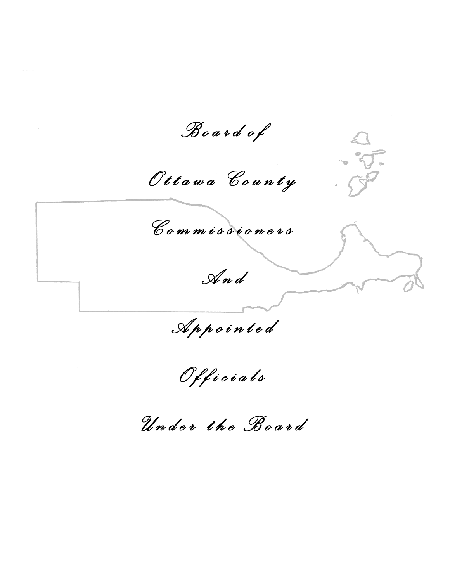*B o a r d o f O t t a w a C o u n t y C o m m i s s i o n e r s*   $\sqrt{7}$  $\widetilde{\bm{\mathcal{S}}}$ *A n d* 

 *A p p o i n t e d O f f i c i a l s U n d e r t h e B o a r d*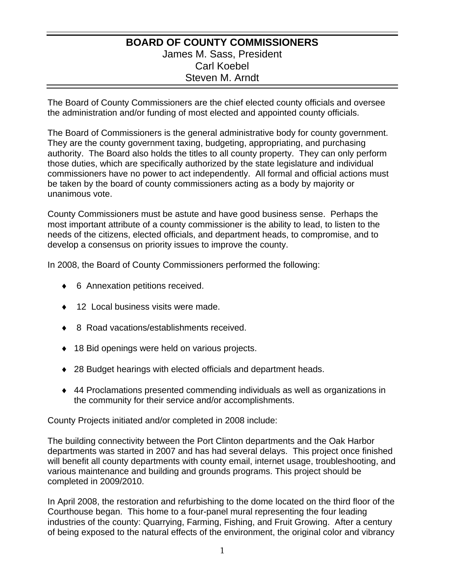### **BOARD OF COUNTY COMMISSIONERS**  James M. Sass, President Carl Koebel Steven M. Arndt

The Board of County Commissioners are the chief elected county officials and oversee the administration and/or funding of most elected and appointed county officials.

The Board of Commissioners is the general administrative body for county government. They are the county government taxing, budgeting, appropriating, and purchasing authority. The Board also holds the titles to all county property. They can only perform those duties, which are specifically authorized by the state legislature and individual commissioners have no power to act independently. All formal and official actions must be taken by the board of county commissioners acting as a body by majority or unanimous vote.

County Commissioners must be astute and have good business sense. Perhaps the most important attribute of a county commissioner is the ability to lead, to listen to the needs of the citizens, elected officials, and department heads, to compromise, and to develop a consensus on priority issues to improve the county.

In 2008, the Board of County Commissioners performed the following:

- ♦ 6 Annexation petitions received.
- 12 Local business visits were made.
- 8 Road vacations/establishments received.
- ◆ 18 Bid openings were held on various projects.
- ♦ 28 Budget hearings with elected officials and department heads.
- ♦ 44 Proclamations presented commending individuals as well as organizations in the community for their service and/or accomplishments.

County Projects initiated and/or completed in 2008 include:

The building connectivity between the Port Clinton departments and the Oak Harbor departments was started in 2007 and has had several delays. This project once finished will benefit all county departments with county email, internet usage, troubleshooting, and various maintenance and building and grounds programs. This project should be completed in 2009/2010.

In April 2008, the restoration and refurbishing to the dome located on the third floor of the Courthouse began. This home to a four-panel mural representing the four leading industries of the county: Quarrying, Farming, Fishing, and Fruit Growing. After a century of being exposed to the natural effects of the environment, the original color and vibrancy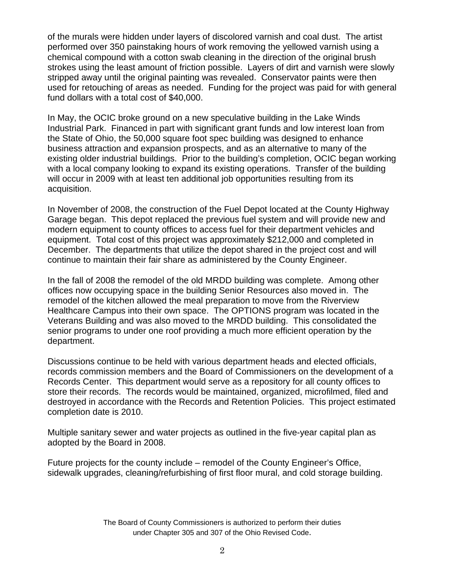of the murals were hidden under layers of discolored varnish and coal dust. The artist performed over 350 painstaking hours of work removing the yellowed varnish using a chemical compound with a cotton swab cleaning in the direction of the original brush strokes using the least amount of friction possible. Layers of dirt and varnish were slowly stripped away until the original painting was revealed. Conservator paints were then used for retouching of areas as needed. Funding for the project was paid for with general fund dollars with a total cost of \$40,000.

In May, the OCIC broke ground on a new speculative building in the Lake Winds Industrial Park. Financed in part with significant grant funds and low interest loan from the State of Ohio, the 50,000 square foot spec building was designed to enhance business attraction and expansion prospects, and as an alternative to many of the existing older industrial buildings. Prior to the building's completion, OCIC began working with a local company looking to expand its existing operations. Transfer of the building will occur in 2009 with at least ten additional job opportunities resulting from its acquisition.

In November of 2008, the construction of the Fuel Depot located at the County Highway Garage began. This depot replaced the previous fuel system and will provide new and modern equipment to county offices to access fuel for their department vehicles and equipment. Total cost of this project was approximately \$212,000 and completed in December. The departments that utilize the depot shared in the project cost and will continue to maintain their fair share as administered by the County Engineer.

In the fall of 2008 the remodel of the old MRDD building was complete. Among other offices now occupying space in the building Senior Resources also moved in. The remodel of the kitchen allowed the meal preparation to move from the Riverview Healthcare Campus into their own space. The OPTIONS program was located in the Veterans Building and was also moved to the MRDD building. This consolidated the senior programs to under one roof providing a much more efficient operation by the department.

Discussions continue to be held with various department heads and elected officials, records commission members and the Board of Commissioners on the development of a Records Center. This department would serve as a repository for all county offices to store their records. The records would be maintained, organized, microfilmed, filed and destroyed in accordance with the Records and Retention Policies. This project estimated completion date is 2010.

Multiple sanitary sewer and water projects as outlined in the five-year capital plan as adopted by the Board in 2008.

Future projects for the county include – remodel of the County Engineer's Office, sidewalk upgrades, cleaning/refurbishing of first floor mural, and cold storage building.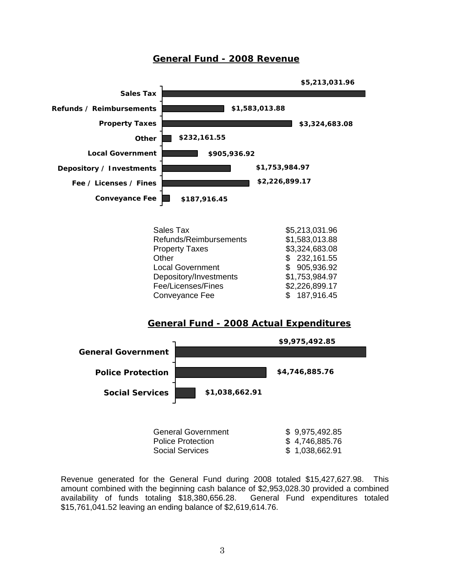### **General Fund - 2008 Revenue**



Depository/Investments \$1,753,984.97 Fee/Licenses/Fines \$2,226,899.17 Conveyance Fee \$ 187,916.45

#### **General Fund - 2008 Actual Expenditures**



Social Services  $$ 1,038,662.91$ 

Revenue generated for the General Fund during 2008 totaled \$15,427,627.98. This amount combined with the beginning cash balance of \$2,953,028.30 provided a combined availability of funds totaling \$18,380,656.28. General Fund expenditures totaled \$15,761,041.52 leaving an ending balance of \$2,619,614.76.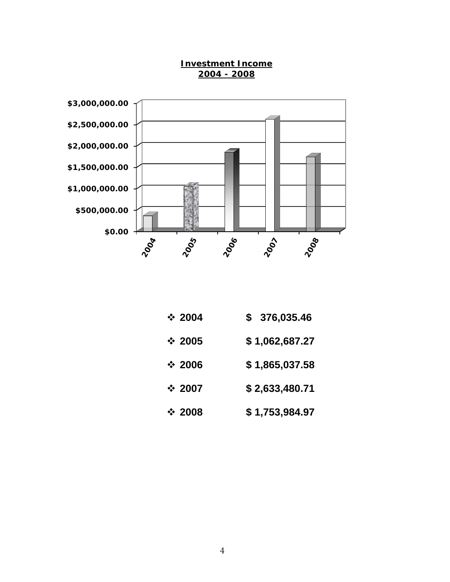

**Investment Income 2004 - 2008**

- **2004 \$ 376,035.46**
- **2005 \$ 1,062,687.27**
- **2006 \$ 1,865,037.58**
- **2007 \$ 2,633,480.71**
- **2008 \$ 1,753,984.97**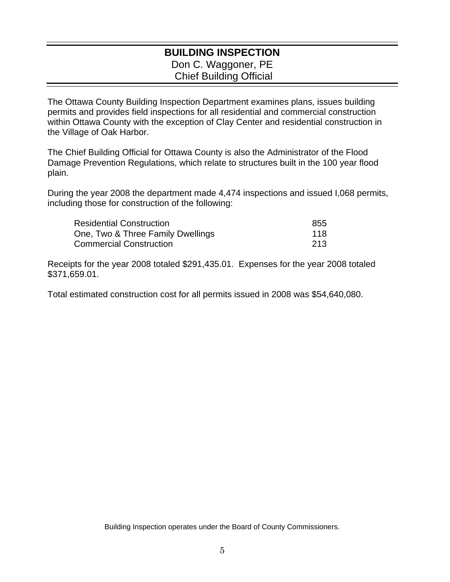### **BUILDING INSPECTION**  Don C. Waggoner, PE Chief Building Official

The Ottawa County Building Inspection Department examines plans, issues building permits and provides field inspections for all residential and commercial construction within Ottawa County with the exception of Clay Center and residential construction in the Village of Oak Harbor.

The Chief Building Official for Ottawa County is also the Administrator of the Flood Damage Prevention Regulations, which relate to structures built in the 100 year flood plain.

During the year 2008 the department made 4,474 inspections and issued I,068 permits, including those for construction of the following:

| <b>Residential Construction</b>   | 855   |
|-----------------------------------|-------|
| One, Two & Three Family Dwellings | 118   |
| <b>Commercial Construction</b>    | -213- |

Receipts for the year 2008 totaled \$291,435.01. Expenses for the year 2008 totaled \$371,659.01.

Total estimated construction cost for all permits issued in 2008 was \$54,640,080.

Building Inspection operates under the Board of County Commissioners.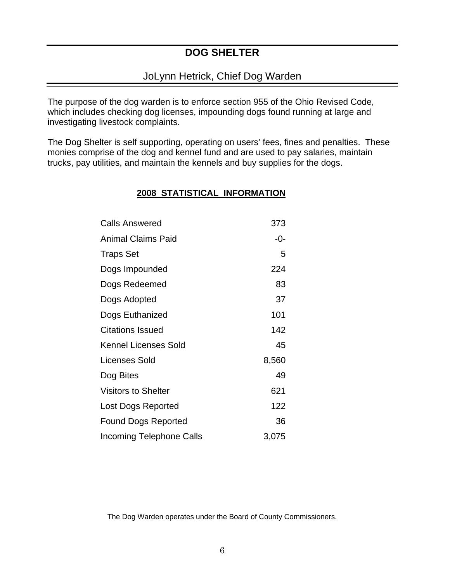# **DOG SHELTER**

### JoLynn Hetrick, Chief Dog Warden

The purpose of the dog warden is to enforce section 955 of the Ohio Revised Code, which includes checking dog licenses, impounding dogs found running at large and investigating livestock complaints.

The Dog Shelter is self supporting, operating on users' fees, fines and penalties. These monies comprise of the dog and kennel fund and are used to pay salaries, maintain trucks, pay utilities, and maintain the kennels and buy supplies for the dogs.

### **2008 STATISTICAL INFORMATION**

| <b>Calls Answered</b>           | 373   |
|---------------------------------|-------|
| <b>Animal Claims Paid</b>       | -0-   |
| <b>Traps Set</b>                | 5     |
| Dogs Impounded                  | 224   |
| Dogs Redeemed                   | 83    |
| Dogs Adopted                    | 37    |
| Dogs Euthanized                 | 101   |
| <b>Citations Issued</b>         | 142   |
| <b>Kennel Licenses Sold</b>     | 45    |
| Licenses Sold                   | 8,560 |
| Dog Bites                       | 49    |
| <b>Visitors to Shelter</b>      | 621   |
| Lost Dogs Reported              | 122   |
| <b>Found Dogs Reported</b>      | 36    |
| <b>Incoming Telephone Calls</b> | 3,075 |

The Dog Warden operates under the Board of County Commissioners.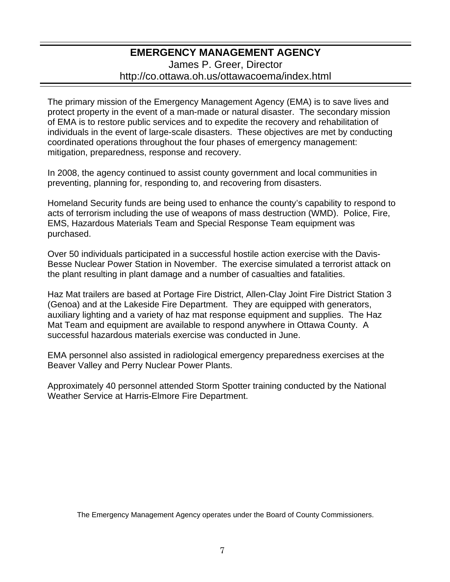### **EMERGENCY MANAGEMENT AGENCY**  James P. Greer, Director http://co.ottawa.oh.us/ottawacoema/index.html

The primary mission of the Emergency Management Agency (EMA) is to save lives and protect property in the event of a man-made or natural disaster. The secondary mission of EMA is to restore public services and to expedite the recovery and rehabilitation of individuals in the event of large-scale disasters. These objectives are met by conducting coordinated operations throughout the four phases of emergency management: mitigation, preparedness, response and recovery.

In 2008, the agency continued to assist county government and local communities in preventing, planning for, responding to, and recovering from disasters.

Homeland Security funds are being used to enhance the county's capability to respond to acts of terrorism including the use of weapons of mass destruction (WMD). Police, Fire, EMS, Hazardous Materials Team and Special Response Team equipment was purchased.

Over 50 individuals participated in a successful hostile action exercise with the Davis-Besse Nuclear Power Station in November. The exercise simulated a terrorist attack on the plant resulting in plant damage and a number of casualties and fatalities.

Haz Mat trailers are based at Portage Fire District, Allen-Clay Joint Fire District Station 3 (Genoa) and at the Lakeside Fire Department. They are equipped with generators, auxiliary lighting and a variety of haz mat response equipment and supplies. The Haz Mat Team and equipment are available to respond anywhere in Ottawa County. A successful hazardous materials exercise was conducted in June.

EMA personnel also assisted in radiological emergency preparedness exercises at the Beaver Valley and Perry Nuclear Power Plants.

Approximately 40 personnel attended Storm Spotter training conducted by the National Weather Service at Harris-Elmore Fire Department.

The Emergency Management Agency operates under the Board of County Commissioners.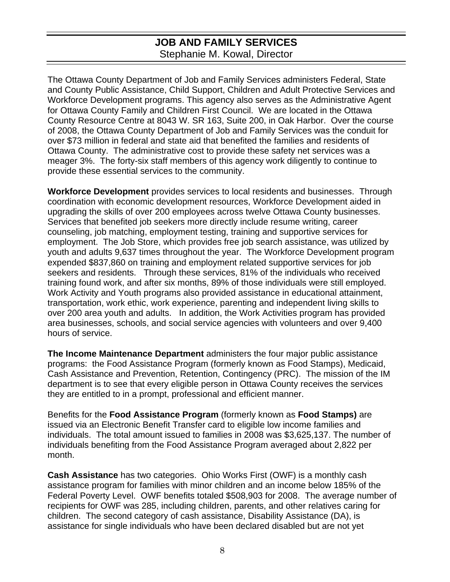# **JOB AND FAMILY SERVICES**  Stephanie M. Kowal, Director

The Ottawa County Department of Job and Family Services administers Federal, State and County Public Assistance, Child Support, Children and Adult Protective Services and Workforce Development programs. This agency also serves as the Administrative Agent for Ottawa County Family and Children First Council. We are located in the Ottawa County Resource Centre at 8043 W. SR 163, Suite 200, in Oak Harbor. Over the course of 2008, the Ottawa County Department of Job and Family Services was the conduit for over \$73 million in federal and state aid that benefited the families and residents of Ottawa County. The administrative cost to provide these safety net services was a meager 3%. The forty-six staff members of this agency work diligently to continue to provide these essential services to the community.

**Workforce Development** provides services to local residents and businesses. Through coordination with economic development resources, Workforce Development aided in upgrading the skills of over 200 employees across twelve Ottawa County businesses. Services that benefited job seekers more directly include resume writing, career counseling, job matching, employment testing, training and supportive services for employment. The Job Store, which provides free job search assistance, was utilized by youth and adults 9,637 times throughout the year. The Workforce Development program expended \$837,860 on training and employment related supportive services for job seekers and residents. Through these services, 81% of the individuals who received training found work, and after six months, 89% of those individuals were still employed. Work Activity and Youth programs also provided assistance in educational attainment, transportation, work ethic, work experience, parenting and independent living skills to over 200 area youth and adults. In addition, the Work Activities program has provided area businesses, schools, and social service agencies with volunteers and over 9,400 hours of service.

**The Income Maintenance Department** administers the four major public assistance programs: the Food Assistance Program (formerly known as Food Stamps), Medicaid, Cash Assistance and Prevention, Retention, Contingency (PRC). The mission of the IM department is to see that every eligible person in Ottawa County receives the services they are entitled to in a prompt, professional and efficient manner.

Benefits for the **Food Assistance Program** (formerly known as **Food Stamps)** are issued via an Electronic Benefit Transfer card to eligible low income families and individuals. The total amount issued to families in 2008 was \$3,625,137. The number of individuals benefiting from the Food Assistance Program averaged about 2,822 per month.

**Cash Assistance** has two categories. Ohio Works First (OWF) is a monthly cash assistance program for families with minor children and an income below 185% of the Federal Poverty Level. OWF benefits totaled \$508,903 for 2008. The average number of recipients for OWF was 285, including children, parents, and other relatives caring for children. The second category of cash assistance, Disability Assistance (DA), is assistance for single individuals who have been declared disabled but are not yet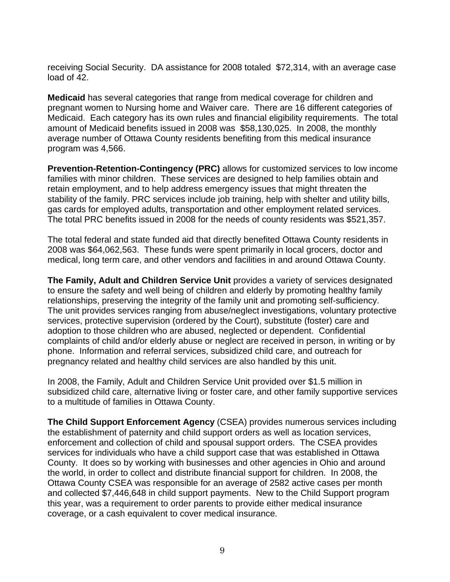receiving Social Security. DA assistance for 2008 totaled \$72,314, with an average case load of 42.

**Medicaid** has several categories that range from medical coverage for children and pregnant women to Nursing home and Waiver care. There are 16 different categories of Medicaid. Each category has its own rules and financial eligibility requirements. The total amount of Medicaid benefits issued in 2008 was \$58,130,025. In 2008, the monthly average number of Ottawa County residents benefiting from this medical insurance program was 4,566.

**Prevention-Retention-Contingency (PRC)** allows for customized services to low income families with minor children. These services are designed to help families obtain and retain employment, and to help address emergency issues that might threaten the stability of the family. PRC services include job training, help with shelter and utility bills, gas cards for employed adults, transportation and other employment related services. The total PRC benefits issued in 2008 for the needs of county residents was \$521,357.

The total federal and state funded aid that directly benefited Ottawa County residents in 2008 was \$64,062,563. These funds were spent primarily in local grocers, doctor and medical, long term care, and other vendors and facilities in and around Ottawa County.

**The Family, Adult and Children Service Unit** provides a variety of services designated to ensure the safety and well being of children and elderly by promoting healthy family relationships, preserving the integrity of the family unit and promoting self-sufficiency. The unit provides services ranging from abuse/neglect investigations, voluntary protective services, protective supervision (ordered by the Court), substitute (foster) care and adoption to those children who are abused, neglected or dependent. Confidential complaints of child and/or elderly abuse or neglect are received in person, in writing or by phone. Information and referral services, subsidized child care, and outreach for pregnancy related and healthy child services are also handled by this unit.

In 2008, the Family, Adult and Children Service Unit provided over \$1.5 million in subsidized child care, alternative living or foster care, and other family supportive services to a multitude of families in Ottawa County.

**The Child Support Enforcement Agency** (CSEA) provides numerous services including the establishment of paternity and child support orders as well as location services, enforcement and collection of child and spousal support orders. The CSEA provides services for individuals who have a child support case that was established in Ottawa County. It does so by working with businesses and other agencies in Ohio and around the world, in order to collect and distribute financial support for children. In 2008, the Ottawa County CSEA was responsible for an average of 2582 active cases per month and collected \$7,446,648 in child support payments. New to the Child Support program this year, was a requirement to order parents to provide either medical insurance coverage, or a cash equivalent to cover medical insurance.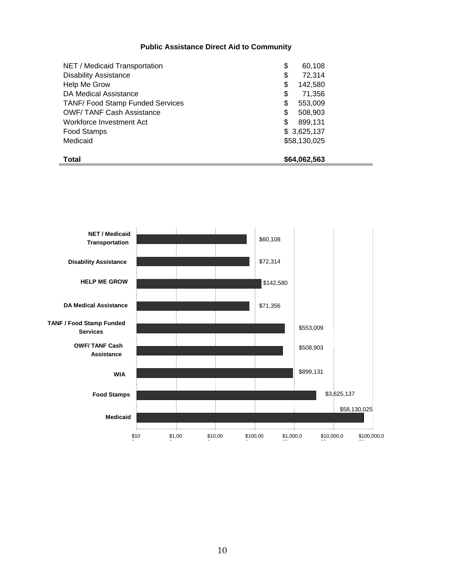#### **Public Assistance Direct Aid to Community**

| NET / Medicaid Transportation          | \$<br>60,108  |
|----------------------------------------|---------------|
| <b>Disability Assistance</b>           | 72,314<br>\$  |
| Help Me Grow                           | \$<br>142,580 |
| <b>DA Medical Assistance</b>           | \$<br>71,356  |
| <b>TANF/Food Stamp Funded Services</b> | 553,009<br>\$ |
| <b>OWF/TANF Cash Assistance</b>        | \$<br>508,903 |
| Workforce Investment Act               | \$<br>899,131 |
| Food Stamps                            | \$3,625,137   |
| Medicaid                               | \$58,130,025  |
| <b>Total</b>                           | \$64,062,563  |

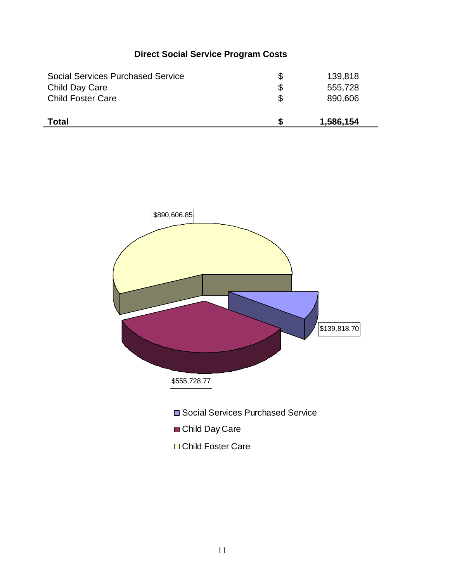# **Direct Social Service Program Costs**

| <b>Social Services Purchased Service</b> | 139,818   |
|------------------------------------------|-----------|
| Child Day Care                           | 555,728   |
| <b>Child Foster Care</b>                 | 890,606   |
|                                          |           |
| <b>Total</b>                             | 1,586,154 |

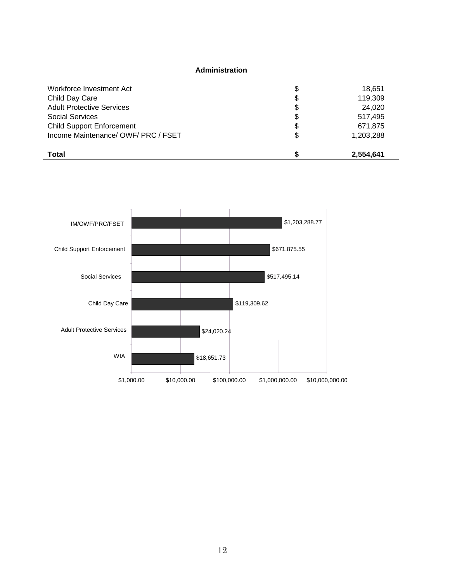#### **Administration**

| Workforce Investment Act            | \$<br>18,651    |
|-------------------------------------|-----------------|
| Child Day Care                      | \$<br>119,309   |
| <b>Adult Protective Services</b>    | \$<br>24,020    |
| Social Services                     | \$<br>517.495   |
| <b>Child Support Enforcement</b>    | \$<br>671,875   |
| Income Maintenance/ OWF/ PRC / FSET | \$<br>1,203,288 |
| <b>Total</b>                        | 2,554,641       |

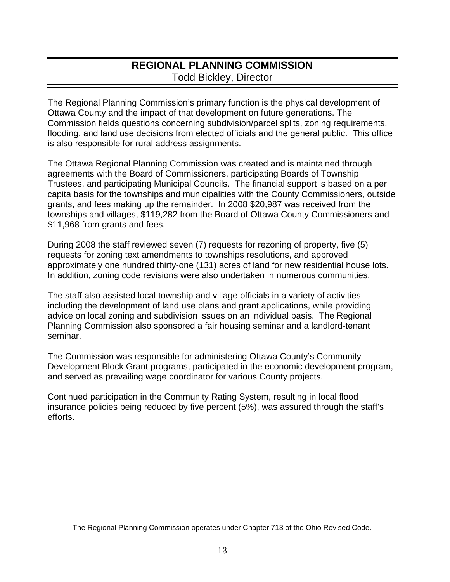# **REGIONAL PLANNING COMMISSION**  Todd Bickley, Director

The Regional Planning Commission's primary function is the physical development of Ottawa County and the impact of that development on future generations. The Commission fields questions concerning subdivision/parcel splits, zoning requirements, flooding, and land use decisions from elected officials and the general public. This office is also responsible for rural address assignments.

The Ottawa Regional Planning Commission was created and is maintained through agreements with the Board of Commissioners, participating Boards of Township Trustees, and participating Municipal Councils. The financial support is based on a per capita basis for the townships and municipalities with the County Commissioners, outside grants, and fees making up the remainder. In 2008 \$20,987 was received from the townships and villages, \$119,282 from the Board of Ottawa County Commissioners and \$11,968 from grants and fees.

During 2008 the staff reviewed seven (7) requests for rezoning of property, five (5) requests for zoning text amendments to townships resolutions, and approved approximately one hundred thirty-one (131) acres of land for new residential house lots. In addition, zoning code revisions were also undertaken in numerous communities.

The staff also assisted local township and village officials in a variety of activities including the development of land use plans and grant applications, while providing advice on local zoning and subdivision issues on an individual basis. The Regional Planning Commission also sponsored a fair housing seminar and a landlord-tenant seminar.

The Commission was responsible for administering Ottawa County's Community Development Block Grant programs, participated in the economic development program, and served as prevailing wage coordinator for various County projects.

Continued participation in the Community Rating System, resulting in local flood insurance policies being reduced by five percent (5%), was assured through the staff's efforts.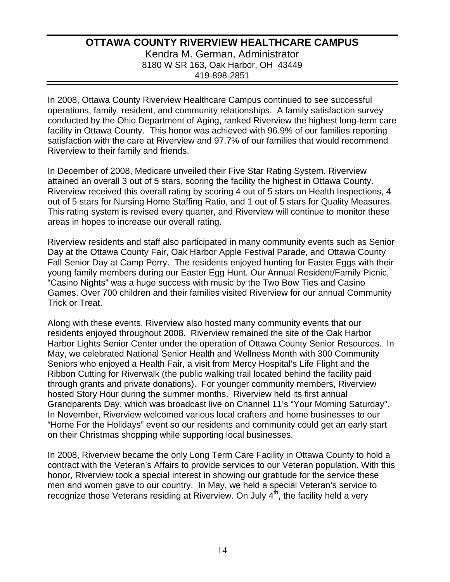### **OTTAWA COUNTY RIVERVIEW HEALTHCARE CAMPUS**  Kendra M. German, Administrator 8180 W SR 163, Oak Harbor, OH 43449 419-898-2851

In 2008, Ottawa County Riverview Healthcare Campus continued to see successful operations, family, resident, and community relationships. A family satisfaction survey conducted by the Ohio Department of Aging, ranked Riverview the highest long-term care facility in Ottawa County. This honor was achieved with 96.9% of our families reporting satisfaction with the care at Riverview and 97.7% of our families that would recommend Riverview to their family and friends.

In December of 2008, Medicare unveiled their Five Star Rating System. Riverview attained an overall 3 out of 5 stars, scoring the facility the highest in Ottawa County. Riverview received this overall rating by scoring 4 out of 5 stars on Health Inspections, 4 out of 5 stars for Nursing Home Staffing Ratio, and 1 out of 5 stars for Quality Measures. This rating system is revised every quarter, and Riverview will continue to monitor these areas in hopes to increase our overall rating.

Riverview residents and staff also participated in many community events such as Senior Day at the Ottawa County Fair, Oak Harbor Apple Festival Parade, and Ottawa County Fall Senior Day at Camp Perry. The residents enjoyed hunting for Easter Eggs with their young family members during our Easter Egg Hunt. Our Annual Resident/Family Picnic, "Casino Nights" was a huge success with music by the Two Bow Ties and Casino Games. Over 700 children and their families visited Riverview for our annual Community Trick or Treat.

Along with these events, Riverview also hosted many community events that our residents enjoyed throughout 2008. Riverview remained the site of the Oak Harbor Harbor Lights Senior Center under the operation of Ottawa County Senior Resources. In May, we celebrated National Senior Health and Wellness Month with 300 Community Seniors who enjoyed a Health Fair, a visit from Mercy Hospital's Life Flight and the Ribbon Cutting for Riverwalk (the public walking trail located behind the facility paid through grants and private donations). For younger community members, Riverview hosted Story Hour during the summer months. Riverview held its first annual Grandparents Day, which was broadcast live on Channel 11's "Your Morning Saturday". In November, Riverview welcomed various local crafters and home businesses to our "Home For the Holidays" event so our residents and community could get an early start on their Christmas shopping while supporting local businesses.

In 2008, Riverview became the only Long Term Care Facility in Ottawa County to hold a contract with the Veteran's Affairs to provide services to our Veteran population. With this honor, Riverview took a special interest in showing our gratitude for the service these men and women gave to our country. In May, we held a special Veteran's service to recognize those Veterans residing at Riverview. On July 4<sup>th</sup>, the facility held a very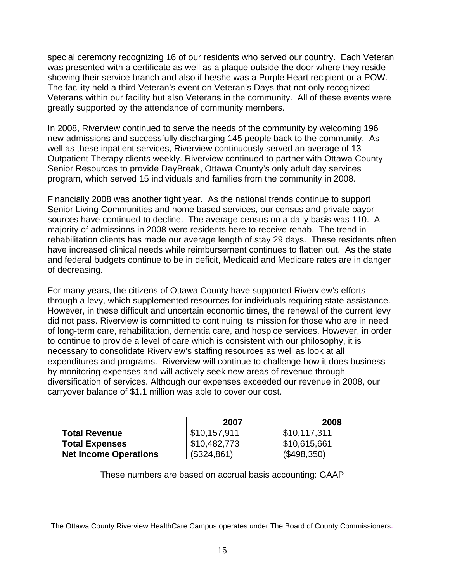special ceremony recognizing 16 of our residents who served our country. Each Veteran was presented with a certificate as well as a plaque outside the door where they reside showing their service branch and also if he/she was a Purple Heart recipient or a POW. The facility held a third Veteran's event on Veteran's Days that not only recognized Veterans within our facility but also Veterans in the community. All of these events were greatly supported by the attendance of community members.

In 2008, Riverview continued to serve the needs of the community by welcoming 196 new admissions and successfully discharging 145 people back to the community. As well as these inpatient services, Riverview continuously served an average of 13 Outpatient Therapy clients weekly. Riverview continued to partner with Ottawa County Senior Resources to provide DayBreak, Ottawa County's only adult day services program, which served 15 individuals and families from the community in 2008.

Financially 2008 was another tight year. As the national trends continue to support Senior Living Communities and home based services, our census and private payor sources have continued to decline. The average census on a daily basis was 110. A majority of admissions in 2008 were residents here to receive rehab. The trend in rehabilitation clients has made our average length of stay 29 days. These residents often have increased clinical needs while reimbursement continues to flatten out. As the state and federal budgets continue to be in deficit, Medicaid and Medicare rates are in danger of decreasing.

For many years, the citizens of Ottawa County have supported Riverview's efforts through a levy, which supplemented resources for individuals requiring state assistance. However, in these difficult and uncertain economic times, the renewal of the current levy did not pass. Riverview is committed to continuing its mission for those who are in need of long-term care, rehabilitation, dementia care, and hospice services. However, in order to continue to provide a level of care which is consistent with our philosophy, it is necessary to consolidate Riverview's staffing resources as well as look at all expenditures and programs. Riverview will continue to challenge how it does business by monitoring expenses and will actively seek new areas of revenue through diversification of services. Although our expenses exceeded our revenue in 2008, our carryover balance of \$1.1 million was able to cover our cost.

|                              | 2007         | 2008         |
|------------------------------|--------------|--------------|
| <b>Total Revenue</b>         | \$10,157,911 | \$10,117,311 |
| <b>Total Expenses</b>        | \$10,482,773 | \$10,615,661 |
| <b>Net Income Operations</b> | (\$324,861)  | (\$498,350)  |

These numbers are based on accrual basis accounting: GAAP

The Ottawa County Riverview HealthCare Campus operates under The Board of County Commissioners.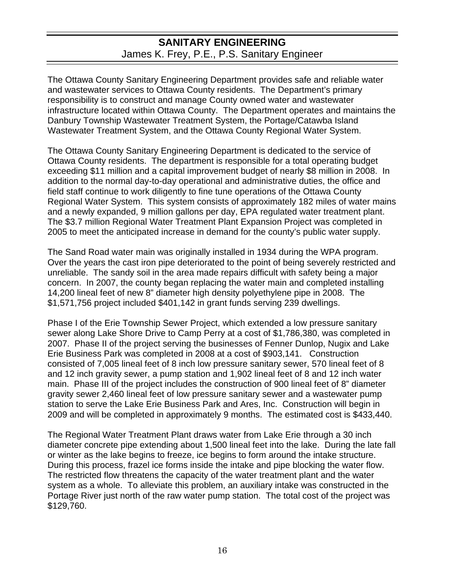### **SANITARY ENGINEERING**  James K. Frey, P.E., P.S. Sanitary Engineer

The Ottawa County Sanitary Engineering Department provides safe and reliable water and wastewater services to Ottawa County residents. The Department's primary responsibility is to construct and manage County owned water and wastewater infrastructure located within Ottawa County. The Department operates and maintains the Danbury Township Wastewater Treatment System, the Portage/Catawba Island Wastewater Treatment System, and the Ottawa County Regional Water System.

The Ottawa County Sanitary Engineering Department is dedicated to the service of Ottawa County residents. The department is responsible for a total operating budget exceeding \$11 million and a capital improvement budget of nearly \$8 million in 2008. In addition to the normal day-to-day operational and administrative duties, the office and field staff continue to work diligently to fine tune operations of the Ottawa County Regional Water System. This system consists of approximately 182 miles of water mains and a newly expanded, 9 million gallons per day, EPA regulated water treatment plant. The \$3.7 million Regional Water Treatment Plant Expansion Project was completed in 2005 to meet the anticipated increase in demand for the county's public water supply.

The Sand Road water main was originally installed in 1934 during the WPA program. Over the years the cast iron pipe deteriorated to the point of being severely restricted and unreliable. The sandy soil in the area made repairs difficult with safety being a major concern. In 2007, the county began replacing the water main and completed installing 14,200 lineal feet of new 8" diameter high density polyethylene pipe in 2008. The \$1,571,756 project included \$401,142 in grant funds serving 239 dwellings.

Phase I of the Erie Township Sewer Project, which extended a low pressure sanitary sewer along Lake Shore Drive to Camp Perry at a cost of \$1,786,380, was completed in 2007. Phase II of the project serving the businesses of Fenner Dunlop, Nugix and Lake Erie Business Park was completed in 2008 at a cost of \$903,141. Construction consisted of 7,005 lineal feet of 8 inch low pressure sanitary sewer, 570 lineal feet of 8 and 12 inch gravity sewer, a pump station and 1,902 lineal feet of 8 and 12 inch water main. Phase III of the project includes the construction of 900 lineal feet of 8" diameter gravity sewer 2,460 lineal feet of low pressure sanitary sewer and a wastewater pump station to serve the Lake Erie Business Park and Ares, Inc. Construction will begin in 2009 and will be completed in approximately 9 months. The estimated cost is \$433,440.

The Regional Water Treatment Plant draws water from Lake Erie through a 30 inch diameter concrete pipe extending about 1,500 lineal feet into the lake. During the late fall or winter as the lake begins to freeze, ice begins to form around the intake structure. During this process, frazel ice forms inside the intake and pipe blocking the water flow. The restricted flow threatens the capacity of the water treatment plant and the water system as a whole. To alleviate this problem, an auxiliary intake was constructed in the Portage River just north of the raw water pump station. The total cost of the project was \$129,760.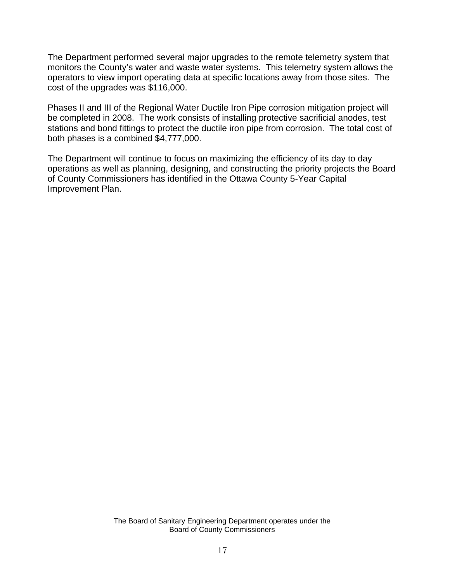The Department performed several major upgrades to the remote telemetry system that monitors the County's water and waste water systems. This telemetry system allows the operators to view import operating data at specific locations away from those sites. The cost of the upgrades was \$116,000.

Phases II and III of the Regional Water Ductile Iron Pipe corrosion mitigation project will be completed in 2008. The work consists of installing protective sacrificial anodes, test stations and bond fittings to protect the ductile iron pipe from corrosion. The total cost of both phases is a combined \$4,777,000.

The Department will continue to focus on maximizing the efficiency of its day to day operations as well as planning, designing, and constructing the priority projects the Board of County Commissioners has identified in the Ottawa County 5-Year Capital Improvement Plan.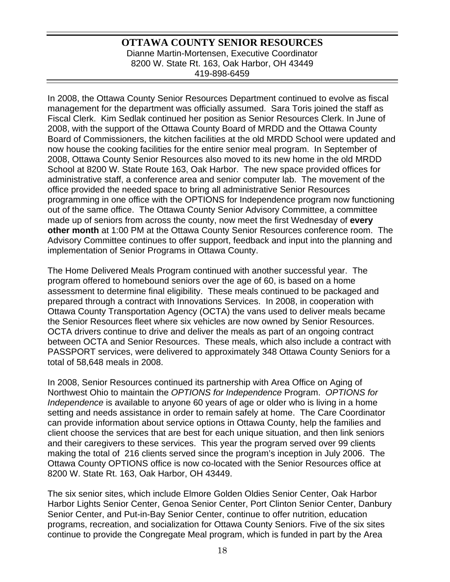### **OTTAWA COUNTY SENIOR RESOURCES**  Dianne Martin-Mortensen, Executive Coordinator 8200 W. State Rt. 163, Oak Harbor, OH 43449 419-898-6459

In 2008, the Ottawa County Senior Resources Department continued to evolve as fiscal management for the department was officially assumed. Sara Toris joined the staff as Fiscal Clerk. Kim Sedlak continued her position as Senior Resources Clerk. In June of 2008, with the support of the Ottawa County Board of MRDD and the Ottawa County Board of Commissioners, the kitchen facilities at the old MRDD School were updated and now house the cooking facilities for the entire senior meal program. In September of 2008, Ottawa County Senior Resources also moved to its new home in the old MRDD School at 8200 W. State Route 163, Oak Harbor. The new space provided offices for administrative staff, a conference area and senior computer lab. The movement of the office provided the needed space to bring all administrative Senior Resources programming in one office with the OPTIONS for Independence program now functioning out of the same office. The Ottawa County Senior Advisory Committee, a committee made up of seniors from across the county, now meet the first Wednesday of **every other month** at 1:00 PM at the Ottawa County Senior Resources conference room. The Advisory Committee continues to offer support, feedback and input into the planning and implementation of Senior Programs in Ottawa County.

The Home Delivered Meals Program continued with another successful year. The program offered to homebound seniors over the age of 60, is based on a home assessment to determine final eligibility. These meals continued to be packaged and prepared through a contract with Innovations Services. In 2008, in cooperation with Ottawa County Transportation Agency (OCTA) the vans used to deliver meals became the Senior Resources fleet where six vehicles are now owned by Senior Resources. OCTA drivers continue to drive and deliver the meals as part of an ongoing contract between OCTA and Senior Resources. These meals, which also include a contract with PASSPORT services, were delivered to approximately 348 Ottawa County Seniors for a total of 58,648 meals in 2008.

In 2008, Senior Resources continued its partnership with Area Office on Aging of Northwest Ohio to maintain the *OPTIONS for Independence* Program. *OPTIONS for Independence* is available to anyone 60 years of age or older who is living in a home setting and needs assistance in order to remain safely at home. The Care Coordinator can provide information about service options in Ottawa County, help the families and client choose the services that are best for each unique situation, and then link seniors and their caregivers to these services. This year the program served over 99 clients making the total of 216 clients served since the program's inception in July 2006. The Ottawa County OPTIONS office is now co-located with the Senior Resources office at 8200 W. State Rt. 163, Oak Harbor, OH 43449.

The six senior sites, which include Elmore Golden Oldies Senior Center, Oak Harbor Harbor Lights Senior Center, Genoa Senior Center, Port Clinton Senior Center, Danbury Senior Center, and Put-in-Bay Senior Center, continue to offer nutrition, education programs, recreation, and socialization for Ottawa County Seniors. Five of the six sites continue to provide the Congregate Meal program, which is funded in part by the Area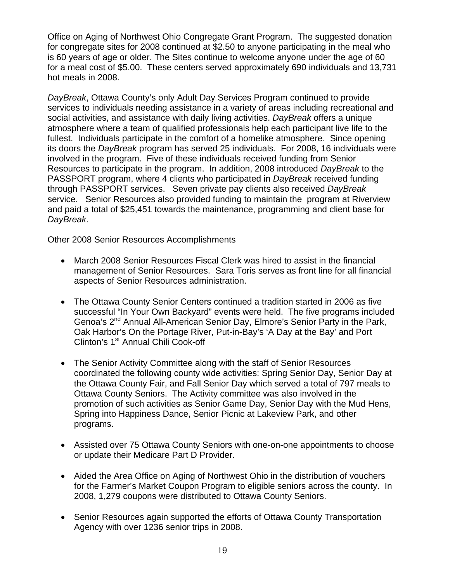Office on Aging of Northwest Ohio Congregate Grant Program. The suggested donation for congregate sites for 2008 continued at \$2.50 to anyone participating in the meal who is 60 years of age or older. The Sites continue to welcome anyone under the age of 60 for a meal cost of \$5.00. These centers served approximately 690 individuals and 13,731 hot meals in 2008.

*DayBreak*, Ottawa County's only Adult Day Services Program continued to provide services to individuals needing assistance in a variety of areas including recreational and social activities, and assistance with daily living activities. *DayBreak* offers a unique atmosphere where a team of qualified professionals help each participant live life to the fullest. Individuals participate in the comfort of a homelike atmosphere. Since opening its doors the *DayBreak* program has served 25 individuals. For 2008, 16 individuals were involved in the program. Five of these individuals received funding from Senior Resources to participate in the program. In addition, 2008 introduced *DayBreak* to the PASSPORT program, where 4 clients who participated in *DayBreak* received funding through PASSPORT services. Seven private pay clients also received *DayBreak* service. Senior Resources also provided funding to maintain the program at Riverview and paid a total of \$25,451 towards the maintenance, programming and client base for *DayBreak*.

Other 2008 Senior Resources Accomplishments

- March 2008 Senior Resources Fiscal Clerk was hired to assist in the financial management of Senior Resources. Sara Toris serves as front line for all financial aspects of Senior Resources administration.
- The Ottawa County Senior Centers continued a tradition started in 2006 as five successful "In Your Own Backyard" events were held. The five programs included Genoa's 2nd Annual All-American Senior Day, Elmore's Senior Party in the Park, Oak Harbor's On the Portage River, Put-in-Bay's 'A Day at the Bay' and Port Clinton's 1<sup>st</sup> Annual Chili Cook-off
- The Senior Activity Committee along with the staff of Senior Resources coordinated the following county wide activities: Spring Senior Day, Senior Day at the Ottawa County Fair, and Fall Senior Day which served a total of 797 meals to Ottawa County Seniors. The Activity committee was also involved in the promotion of such activities as Senior Game Day, Senior Day with the Mud Hens, Spring into Happiness Dance, Senior Picnic at Lakeview Park, and other programs.
- Assisted over 75 Ottawa County Seniors with one-on-one appointments to choose or update their Medicare Part D Provider.
- Aided the Area Office on Aging of Northwest Ohio in the distribution of vouchers for the Farmer's Market Coupon Program to eligible seniors across the county. In 2008, 1,279 coupons were distributed to Ottawa County Seniors.
- Senior Resources again supported the efforts of Ottawa County Transportation Agency with over 1236 senior trips in 2008.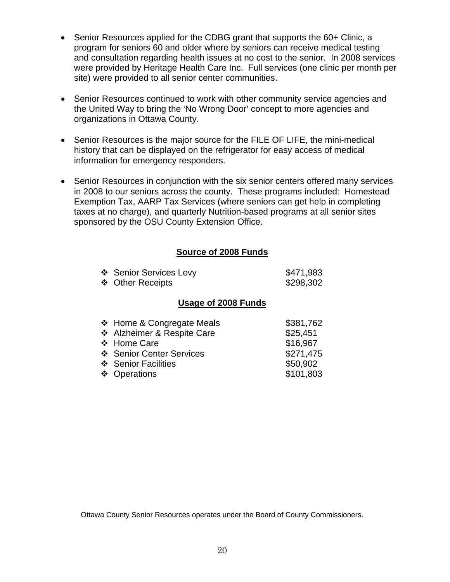- Senior Resources applied for the CDBG grant that supports the 60+ Clinic, a program for seniors 60 and older where by seniors can receive medical testing and consultation regarding health issues at no cost to the senior. In 2008 services were provided by Heritage Health Care Inc. Full services (one clinic per month per site) were provided to all senior center communities.
- Senior Resources continued to work with other community service agencies and the United Way to bring the 'No Wrong Door' concept to more agencies and organizations in Ottawa County.
- Senior Resources is the major source for the FILE OF LIFE, the mini-medical history that can be displayed on the refrigerator for easy access of medical information for emergency responders.
- Senior Resources in conjunction with the six senior centers offered many services in 2008 to our seniors across the county. These programs included: Homestead Exemption Tax, AARP Tax Services (where seniors can get help in completing taxes at no charge), and quarterly Nutrition-based programs at all senior sites sponsored by the OSU County Extension Office.

### **Source of 2008 Funds**

| ❖ Senior Services Levy | \$471,983 |
|------------------------|-----------|
| ❖ Other Receipts       | \$298,302 |

#### **Usage of 2008 Funds**

| ❖ Home & Congregate Meals  | \$381,762 |
|----------------------------|-----------|
| ❖ Alzheimer & Respite Care | \$25,451  |
| ❖ Home Care                | \$16,967  |
| ❖ Senior Center Services   | \$271,475 |
| ❖ Senior Facilities        | \$50,902  |
| ❖ Operations               | \$101,803 |
|                            |           |

Ottawa County Senior Resources operates under the Board of County Commissioners.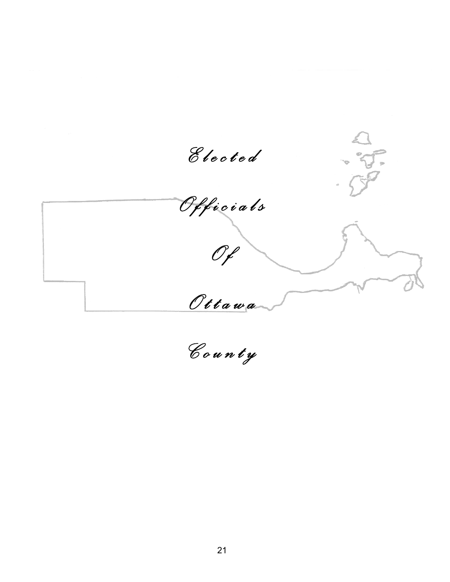*E l e c t e d O f f i c i a l s*  -<br>F  $\propto$  $O_f$  *O t t a w a C o u n t y*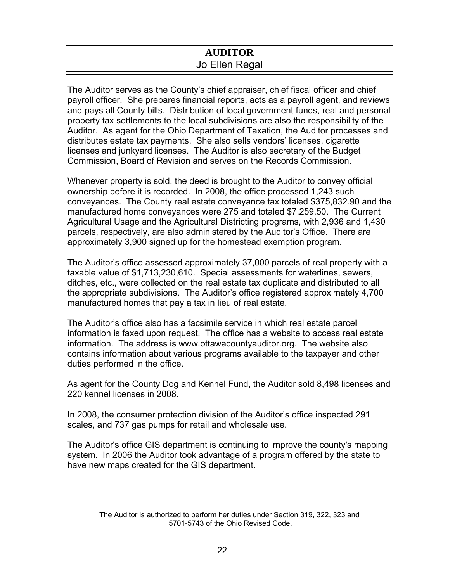### **AUDITOR**  Jo Ellen Regal

The Auditor serves as the County's chief appraiser, chief fiscal officer and chief payroll officer. She prepares financial reports, acts as a payroll agent, and reviews and pays all County bills. Distribution of local government funds, real and personal property tax settlements to the local subdivisions are also the responsibility of the Auditor. As agent for the Ohio Department of Taxation, the Auditor processes and distributes estate tax payments. She also sells vendors' licenses, cigarette licenses and junkyard licenses. The Auditor is also secretary of the Budget Commission, Board of Revision and serves on the Records Commission.

Whenever property is sold, the deed is brought to the Auditor to convey official ownership before it is recorded. In 2008, the office processed 1,243 such conveyances. The County real estate conveyance tax totaled \$375,832.90 and the manufactured home conveyances were 275 and totaled \$7,259.50. The Current Agricultural Usage and the Agricultural Districting programs, with 2,936 and 1,430 parcels, respectively, are also administered by the Auditor's Office. There are approximately 3,900 signed up for the homestead exemption program.

The Auditor's office assessed approximately 37,000 parcels of real property with a taxable value of \$1,713,230,610. Special assessments for waterlines, sewers, ditches, etc., were collected on the real estate tax duplicate and distributed to all the appropriate subdivisions. The Auditor's office registered approximately 4,700 manufactured homes that pay a tax in lieu of real estate.

The Auditor's office also has a facsimile service in which real estate parcel information is faxed upon request. The office has a website to access real estate information. The address is www.ottawacountyauditor.org. The website also contains information about various programs available to the taxpayer and other duties performed in the office.

As agent for the County Dog and Kennel Fund, the Auditor sold 8,498 licenses and 220 kennel licenses in 2008.

In 2008, the consumer protection division of the Auditor's office inspected 291 scales, and 737 gas pumps for retail and wholesale use.

The Auditor's office GIS department is continuing to improve the county's mapping system. In 2006 the Auditor took advantage of a program offered by the state to have new maps created for the GIS department.

The Auditor is authorized to perform her duties under Section 319, 322, 323 and 5701-5743 of the Ohio Revised Code.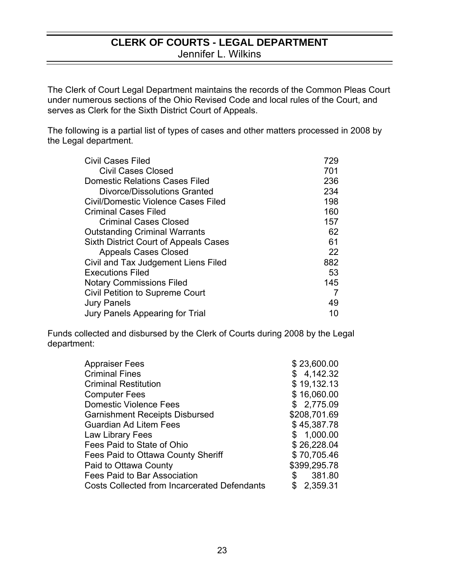### **CLERK OF COURTS - LEGAL DEPARTMENT**  Jennifer L. Wilkins

The Clerk of Court Legal Department maintains the records of the Common Pleas Court under numerous sections of the Ohio Revised Code and local rules of the Court, and serves as Clerk for the Sixth District Court of Appeals.

The following is a partial list of types of cases and other matters processed in 2008 by the Legal department.

| <b>Civil Cases Filed</b>                     | 729 |
|----------------------------------------------|-----|
| <b>Civil Cases Closed</b>                    | 701 |
| <b>Domestic Relations Cases Filed</b>        | 236 |
| Divorce/Dissolutions Granted                 | 234 |
| <b>Civil/Domestic Violence Cases Filed</b>   | 198 |
| <b>Criminal Cases Filed</b>                  | 160 |
| <b>Criminal Cases Closed</b>                 | 157 |
| <b>Outstanding Criminal Warrants</b>         | 62  |
| <b>Sixth District Court of Appeals Cases</b> | 61  |
| <b>Appeals Cases Closed</b>                  | 22  |
| Civil and Tax Judgement Liens Filed          | 882 |
| <b>Executions Filed</b>                      | 53  |
| <b>Notary Commissions Filed</b>              | 145 |
| <b>Civil Petition to Supreme Court</b>       | 7   |
| <b>Jury Panels</b>                           | 49  |
| Jury Panels Appearing for Trial              | 10  |

Funds collected and disbursed by the Clerk of Courts during 2008 by the Legal department:

| Appraiser Fees                                      | \$23,600.00  |
|-----------------------------------------------------|--------------|
| <b>Criminal Fines</b>                               | \$4,142.32   |
| Criminal Restitution                                | \$19,132.13  |
| <b>Computer Fees</b>                                | \$16,060.00  |
| <b>Domestic Violence Fees</b>                       | \$2,775.09   |
| <b>Garnishment Receipts Disbursed</b>               | \$208,701.69 |
| Guardian Ad Litem Fees                              | \$45,387.78  |
| Law Library Fees                                    | \$1,000.00   |
| Fees Paid to State of Ohio                          | \$26,228.04  |
| Fees Paid to Ottawa County Sheriff                  | \$70,705.46  |
| Paid to Ottawa County                               | \$399,295.78 |
| Fees Paid to Bar Association                        | 381.80<br>\$ |
| <b>Costs Collected from Incarcerated Defendants</b> | 2,359.31     |
|                                                     |              |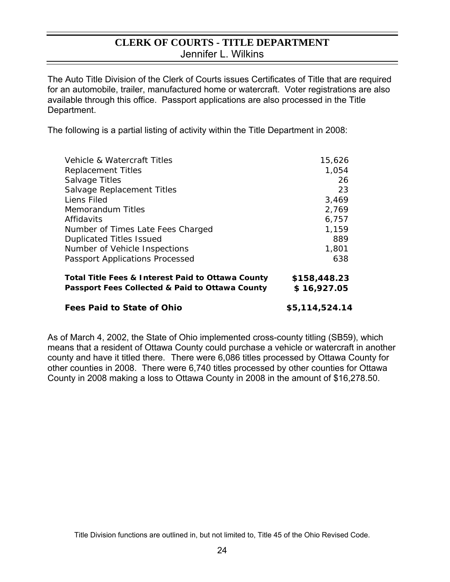### **CLERK OF COURTS - TITLE DEPARTMENT**  Jennifer L. Wilkins

The Auto Title Division of the Clerk of Courts issues Certificates of Title that are required for an automobile, trailer, manufactured home or watercraft. Voter registrations are also available through this office. Passport applications are also processed in the Title Department.

The following is a partial listing of activity within the Title Department in 2008:

| Vehicle & Watercraft Titles                                                                          | 15,626                      |
|------------------------------------------------------------------------------------------------------|-----------------------------|
| <b>Replacement Titles</b>                                                                            | 1,054                       |
| <b>Salvage Titles</b>                                                                                | 26                          |
| Salvage Replacement Titles                                                                           | 23                          |
| Liens Filed                                                                                          | 3,469                       |
| <b>Memorandum Titles</b>                                                                             | 2,769                       |
| Affidavits                                                                                           | 6,757                       |
| Number of Times Late Fees Charged                                                                    | 1,159                       |
| <b>Duplicated Titles Issued</b>                                                                      | 889                         |
| Number of Vehicle Inspections                                                                        | 1,801                       |
| <b>Passport Applications Processed</b>                                                               | 638                         |
| Total Title Fees & Interest Paid to Ottawa County<br>Passport Fees Collected & Paid to Ottawa County | \$158,448.23<br>\$16,927.05 |
|                                                                                                      |                             |

### **Fees Paid to State of Ohio**   $$5,114,524.14$

As of March 4, 2002, the State of Ohio implemented cross-county titling (SB59), which means that a resident of Ottawa County could purchase a vehicle or watercraft in another county and have it titled there.There were 6,086 titles processed by Ottawa County for other counties in 2008. There were 6,740 titles processed by other counties for Ottawa County in 2008 making a loss to Ottawa County in 2008 in the amount of \$16,278.50.

Title Division functions are outlined in, but not limited to, Title 45 of the Ohio Revised Code.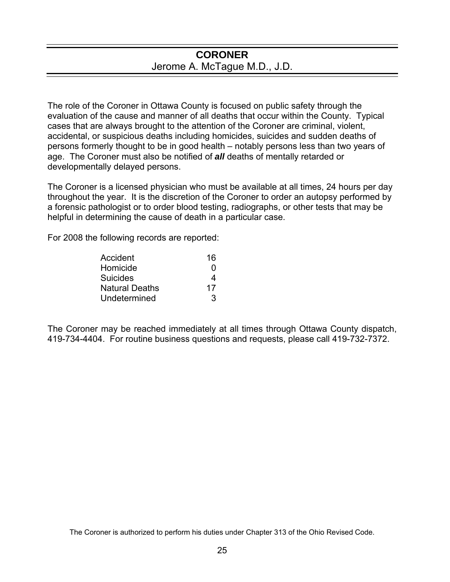### **CORONER**  Jerome A. McTague M.D., J.D.

The role of the Coroner in Ottawa County is focused on public safety through the evaluation of the cause and manner of all deaths that occur within the County. Typical cases that are always brought to the attention of the Coroner are criminal, violent, accidental, or suspicious deaths including homicides, suicides and sudden deaths of persons formerly thought to be in good health – notably persons less than two years of age. The Coroner must also be notified of *all* deaths of mentally retarded or developmentally delayed persons.

The Coroner is a licensed physician who must be available at all times, 24 hours per day throughout the year. It is the discretion of the Coroner to order an autopsy performed by a forensic pathologist or to order blood testing, radiographs, or other tests that may be helpful in determining the cause of death in a particular case.

For 2008 the following records are reported:

| Accident              | 16 |
|-----------------------|----|
| Homicide              | 0  |
| <b>Suicides</b>       |    |
| <b>Natural Deaths</b> | 17 |
| Undetermined          | 3  |

The Coroner may be reached immediately at all times through Ottawa County dispatch, 419-734-4404. For routine business questions and requests, please call 419-732-7372.

The Coroner is authorized to perform his duties under Chapter 313 of the Ohio Revised Code.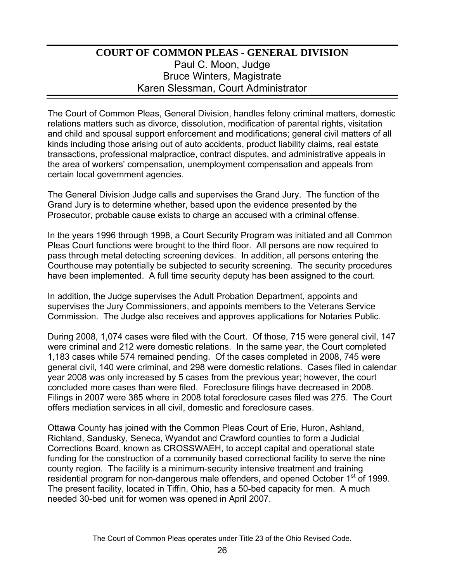# **COURT OF COMMON PLEAS - GENERAL DIVISION** Paul C. Moon, Judge Bruce Winters, Magistrate Karen Slessman, Court Administrator

The Court of Common Pleas, General Division, handles felony criminal matters, domestic relations matters such as divorce, dissolution, modification of parental rights, visitation and child and spousal support enforcement and modifications; general civil matters of all kinds including those arising out of auto accidents, product liability claims, real estate transactions, professional malpractice, contract disputes, and administrative appeals in the area of workers' compensation, unemployment compensation and appeals from certain local government agencies.

The General Division Judge calls and supervises the Grand Jury. The function of the Grand Jury is to determine whether, based upon the evidence presented by the Prosecutor, probable cause exists to charge an accused with a criminal offense.

In the years 1996 through 1998, a Court Security Program was initiated and all Common Pleas Court functions were brought to the third floor. All persons are now required to pass through metal detecting screening devices. In addition, all persons entering the Courthouse may potentially be subjected to security screening. The security procedures have been implemented. A full time security deputy has been assigned to the court.

In addition, the Judge supervises the Adult Probation Department, appoints and supervises the Jury Commissioners, and appoints members to the Veterans Service Commission. The Judge also receives and approves applications for Notaries Public.

During 2008, 1,074 cases were filed with the Court. Of those, 715 were general civil, 147 were criminal and 212 were domestic relations. In the same year, the Court completed 1,183 cases while 574 remained pending. Of the cases completed in 2008, 745 were general civil, 140 were criminal, and 298 were domestic relations. Cases filed in calendar year 2008 was only increased by 5 cases from the previous year; however, the court concluded more cases than were filed. Foreclosure filings have decreased in 2008. Filings in 2007 were 385 where in 2008 total foreclosure cases filed was 275. The Court offers mediation services in all civil, domestic and foreclosure cases.

Ottawa County has joined with the Common Pleas Court of Erie, Huron, Ashland, Richland, Sandusky, Seneca, Wyandot and Crawford counties to form a Judicial Corrections Board, known as CROSSWAEH, to accept capital and operational state funding for the construction of a community based correctional facility to serve the nine county region. The facility is a minimum-security intensive treatment and training residential program for non-dangerous male offenders, and opened October 1<sup>st</sup> of 1999. The present facility, located in Tiffin, Ohio, has a 50-bed capacity for men. A much needed 30-bed unit for women was opened in April 2007.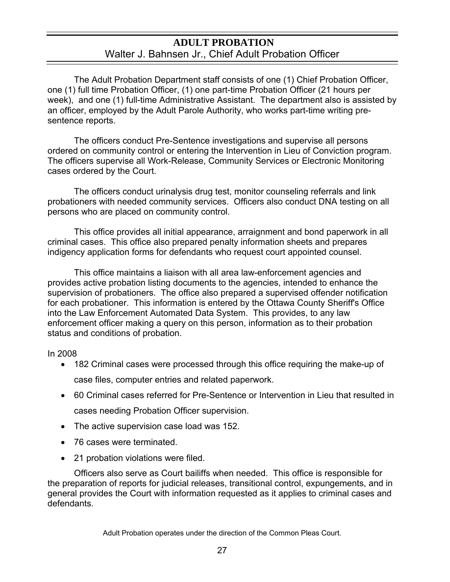### **ADULT PROBATION**  Walter J. Bahnsen Jr., Chief Adult Probation Officer

 The Adult Probation Department staff consists of one (1) Chief Probation Officer, one (1) full time Probation Officer, (1) one part-time Probation Officer (21 hours per week), and one (1) full-time Administrative Assistant. The department also is assisted by an officer, employed by the Adult Parole Authority, who works part-time writing presentence reports.

 The officers conduct Pre-Sentence investigations and supervise all persons ordered on community control or entering the Intervention in Lieu of Conviction program. The officers supervise all Work-Release, Community Services or Electronic Monitoring cases ordered by the Court.

 The officers conduct urinalysis drug test, monitor counseling referrals and link probationers with needed community services. Officers also conduct DNA testing on all persons who are placed on community control.

 This office provides all initial appearance, arraignment and bond paperwork in all criminal cases. This office also prepared penalty information sheets and prepares indigency application forms for defendants who request court appointed counsel.

 This office maintains a liaison with all area law-enforcement agencies and provides active probation listing documents to the agencies, intended to enhance the supervision of probationers. The office also prepared a supervised offender notification for each probationer. This information is entered by the Ottawa County Sheriff's Office into the Law Enforcement Automated Data System. This provides, to any law enforcement officer making a query on this person, information as to their probation status and conditions of probation.

In 2008

- 182 Criminal cases were processed through this office requiring the make-up of case files, computer entries and related paperwork.
- 60 Criminal cases referred for Pre-Sentence or Intervention in Lieu that resulted in cases needing Probation Officer supervision.
- The active supervision case load was 152.
- 76 cases were terminated.
- 21 probation violations were filed.

 Officers also serve as Court bailiffs when needed. This office is responsible for the preparation of reports for judicial releases, transitional control, expungements, and in general provides the Court with information requested as it applies to criminal cases and defendants.

Adult Probation operates under the direction of the Common Pleas Court.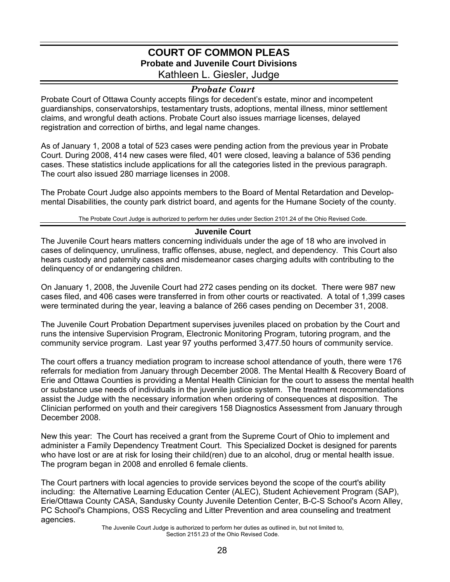### **COURT OF COMMON PLEAS Probate and Juvenile Court Divisions**  Kathleen L. Giesler, Judge

#### *Probate Court*

Probate Court of Ottawa County accepts filings for decedent's estate, minor and incompetent guardianships, conservatorships, testamentary trusts, adoptions, mental illness, minor settlement claims, and wrongful death actions. Probate Court also issues marriage licenses, delayed registration and correction of births, and legal name changes.

As of January 1, 2008 a total of 523 cases were pending action from the previous year in Probate Court. During 2008, 414 new cases were filed, 401 were closed, leaving a balance of 536 pending cases. These statistics include applications for all the categories listed in the previous paragraph. The court also issued 280 marriage licenses in 2008.

The Probate Court Judge also appoints members to the Board of Mental Retardation and Developmental Disabilities, the county park district board, and agents for the Humane Society of the county.

The Probate Court Judge is authorized to perform her duties under Section 2101.24 of the Ohio Revised Code.

#### **Juvenile Court**

The Juvenile Court hears matters concerning individuals under the age of 18 who are involved in cases of delinquency, unruliness, traffic offenses, abuse, neglect, and dependency. This Court also hears custody and paternity cases and misdemeanor cases charging adults with contributing to the delinquency of or endangering children.

On January 1, 2008, the Juvenile Court had 272 cases pending on its docket. There were 987 new cases filed, and 406 cases were transferred in from other courts or reactivated. A total of 1,399 cases were terminated during the year, leaving a balance of 266 cases pending on December 31, 2008.

The Juvenile Court Probation Department supervises juveniles placed on probation by the Court and runs the intensive Supervision Program, Electronic Monitoring Program, tutoring program, and the community service program. Last year 97 youths performed 3,477.50 hours of community service.

The court offers a truancy mediation program to increase school attendance of youth, there were 176 referrals for mediation from January through December 2008. The Mental Health & Recovery Board of Erie and Ottawa Counties is providing a Mental Health Clinician for the court to assess the mental health or substance use needs of individuals in the juvenile justice system. The treatment recommendations assist the Judge with the necessary information when ordering of consequences at disposition. The Clinician performed on youth and their caregivers 158 Diagnostics Assessment from January through December 2008.

New this year: The Court has received a grant from the Supreme Court of Ohio to implement and administer a Family Dependency Treatment Court. This Specialized Docket is designed for parents who have lost or are at risk for losing their child(ren) due to an alcohol, drug or mental health issue. The program began in 2008 and enrolled 6 female clients.

The Court partners with local agencies to provide services beyond the scope of the court's ability including: the Alternative Learning Education Center (ALEC), Student Achievement Program (SAP), Erie/Ottawa County CASA, Sandusky County Juvenile Detention Center, B-C-S School's Acorn Alley, PC School's Champions, OSS Recycling and Litter Prevention and area counseling and treatment agencies.

The Juvenile Court Judge is authorized to perform her duties as outlined in, but not limited to, Section 2151.23 of the Ohio Revised Code.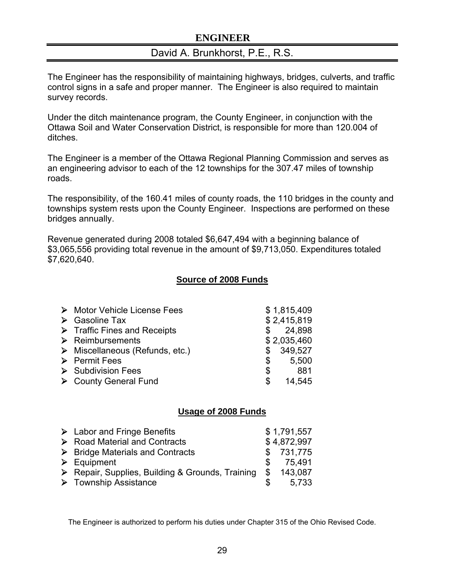### **ENGINEER**

### David A. Brunkhorst, P.E., R.S.

The Engineer has the responsibility of maintaining highways, bridges, culverts, and traffic control signs in a safe and proper manner. The Engineer is also required to maintain survey records.

Under the ditch maintenance program, the County Engineer, in conjunction with the Ottawa Soil and Water Conservation District, is responsible for more than 120.004 of ditches.

The Engineer is a member of the Ottawa Regional Planning Commission and serves as an engineering advisor to each of the 12 townships for the 307.47 miles of township roads.

The responsibility, of the 160.41 miles of county roads, the 110 bridges in the county and townships system rests upon the County Engineer. Inspections are performed on these bridges annually.

Revenue generated during 2008 totaled \$6,647,494 with a beginning balance of \$3,065,556 providing total revenue in the amount of \$9,713,050. Expenditures totaled \$7,620,640.

### **Source of 2008 Funds**

| > Motor Vehicle License Fees                   |     | \$1,815,409 |
|------------------------------------------------|-----|-------------|
| $\triangleright$ Gasoline Tax                  |     | \$2,415,819 |
| $\triangleright$ Traffic Fines and Receipts    |     | \$24,898    |
| $\triangleright$ Reimbursements                |     | \$2,035,460 |
| $\triangleright$ Miscellaneous (Refunds, etc.) | S.  | 349,527     |
| $\triangleright$ Permit Fees                   | S.  | 5,500       |
| $\triangleright$ Subdivision Fees              | \$  | 881         |
| ▶ County General Fund                          | \$. | 14,545      |

### **Usage of 2008 Funds**

| $\triangleright$ Labor and Fringe Benefits       | \$1,791,557   |
|--------------------------------------------------|---------------|
| $\triangleright$ Road Material and Contracts     | \$4,872,997   |
| $\triangleright$ Bridge Materials and Contracts  | \$731,775     |
| $\triangleright$ Equipment                       | 75.491        |
| ▶ Repair, Supplies, Building & Grounds, Training | \$<br>143,087 |
| $\triangleright$ Township Assistance             | 5.733         |

The Engineer is authorized to perform his duties under Chapter 315 of the Ohio Revised Code.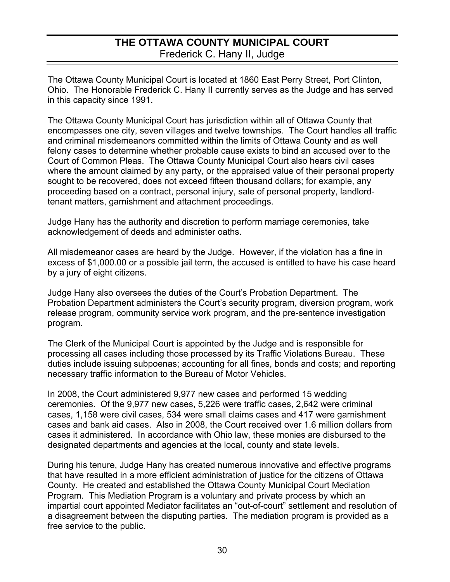# **THE OTTAWA COUNTY MUNICIPAL COURT**  Frederick C. Hany II, Judge

The Ottawa County Municipal Court is located at 1860 East Perry Street, Port Clinton, Ohio. The Honorable Frederick C. Hany II currently serves as the Judge and has served in this capacity since 1991.

The Ottawa County Municipal Court has jurisdiction within all of Ottawa County that encompasses one city, seven villages and twelve townships. The Court handles all traffic and criminal misdemeanors committed within the limits of Ottawa County and as well felony cases to determine whether probable cause exists to bind an accused over to the Court of Common Pleas. The Ottawa County Municipal Court also hears civil cases where the amount claimed by any party, or the appraised value of their personal property sought to be recovered, does not exceed fifteen thousand dollars; for example, any proceeding based on a contract, personal injury, sale of personal property, landlordtenant matters, garnishment and attachment proceedings.

Judge Hany has the authority and discretion to perform marriage ceremonies, take acknowledgement of deeds and administer oaths.

All misdemeanor cases are heard by the Judge. However, if the violation has a fine in excess of \$1,000.00 or a possible jail term, the accused is entitled to have his case heard by a jury of eight citizens.

Judge Hany also oversees the duties of the Court's Probation Department. The Probation Department administers the Court's security program, diversion program, work release program, community service work program, and the pre-sentence investigation program.

The Clerk of the Municipal Court is appointed by the Judge and is responsible for processing all cases including those processed by its Traffic Violations Bureau. These duties include issuing subpoenas; accounting for all fines, bonds and costs; and reporting necessary traffic information to the Bureau of Motor Vehicles.

In 2008, the Court administered 9,977 new cases and performed 15 wedding ceremonies. Of the 9,977 new cases, 5,226 were traffic cases, 2,642 were criminal cases, 1,158 were civil cases, 534 were small claims cases and 417 were garnishment cases and bank aid cases. Also in 2008, the Court received over 1.6 million dollars from cases it administered. In accordance with Ohio law, these monies are disbursed to the designated departments and agencies at the local, county and state levels.

During his tenure, Judge Hany has created numerous innovative and effective programs that have resulted in a more efficient administration of justice for the citizens of Ottawa County. He created and established the Ottawa County Municipal Court Mediation Program. This Mediation Program is a voluntary and private process by which an impartial court appointed Mediator facilitates an "out-of-court" settlement and resolution of a disagreement between the disputing parties. The mediation program is provided as a free service to the public.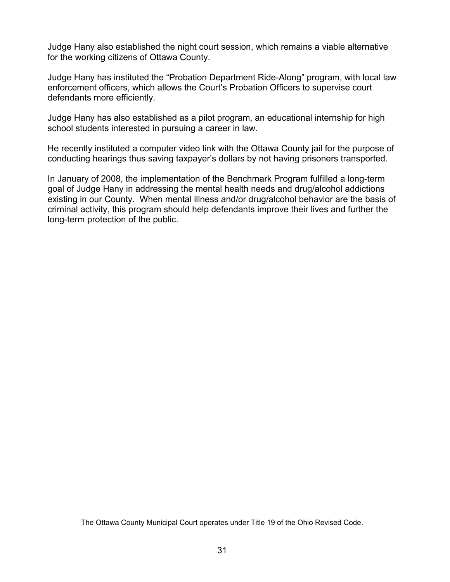Judge Hany also established the night court session, which remains a viable alternative for the working citizens of Ottawa County.

Judge Hany has instituted the "Probation Department Ride-Along" program, with local law enforcement officers, which allows the Court's Probation Officers to supervise court defendants more efficiently.

Judge Hany has also established as a pilot program, an educational internship for high school students interested in pursuing a career in law.

He recently instituted a computer video link with the Ottawa County jail for the purpose of conducting hearings thus saving taxpayer's dollars by not having prisoners transported.

In January of 2008, the implementation of the Benchmark Program fulfilled a long-term goal of Judge Hany in addressing the mental health needs and drug/alcohol addictions existing in our County. When mental illness and/or drug/alcohol behavior are the basis of criminal activity, this program should help defendants improve their lives and further the long-term protection of the public.

The Ottawa County Municipal Court operates under Title 19 of the Ohio Revised Code.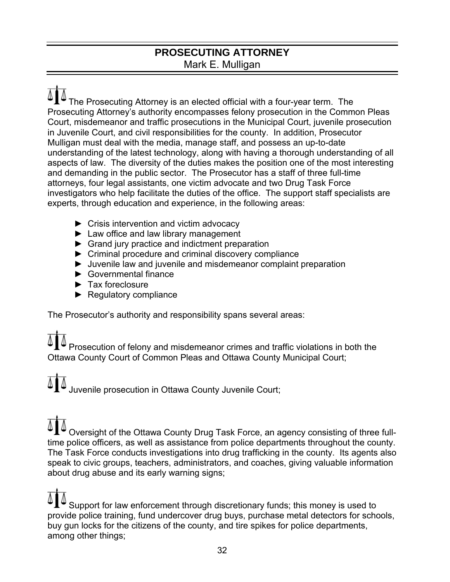## **PROSECUTING ATTORNEY**  Mark E. Mulligan

 The Prosecuting Attorney is an elected official with a four-year term. The Prosecuting Attorney's authority encompasses felony prosecution in the Common Pleas Court, misdemeanor and traffic prosecutions in the Municipal Court, juvenile prosecution in Juvenile Court, and civil responsibilities for the county. In addition, Prosecutor Mulligan must deal with the media, manage staff, and possess an up-to-date understanding of the latest technology, along with having a thorough understanding of all aspects of law. The diversity of the duties makes the position one of the most interesting and demanding in the public sector. The Prosecutor has a staff of three full-time attorneys, four legal assistants, one victim advocate and two Drug Task Force investigators who help facilitate the duties of the office. The support staff specialists are experts, through education and experience, in the following areas:

- ► Crisis intervention and victim advocacy
- ► Law office and law library management
- ► Grand jury practice and indictment preparation
- ► Criminal procedure and criminal discovery compliance
- ► Juvenile law and juvenile and misdemeanor complaint preparation
- ► Governmental finance
- ► Tax foreclosure
- ► Regulatory compliance

The Prosecutor's authority and responsibility spans several areas:

 Prosecution of felony and misdemeanor crimes and traffic violations in both the Ottawa County Court of Common Pleas and Ottawa County Municipal Court;

Juvenile prosecution in Ottawa County Juvenile Court;

 Oversight of the Ottawa County Drug Task Force, an agency consisting of three fulltime police officers, as well as assistance from police departments throughout the county. The Task Force conducts investigations into drug trafficking in the county. Its agents also speak to civic groups, teachers, administrators, and coaches, giving valuable information about drug abuse and its early warning signs;

 Support for law enforcement through discretionary funds; this money is used to provide police training, fund undercover drug buys, purchase metal detectors for schools, buy gun locks for the citizens of the county, and tire spikes for police departments, among other things;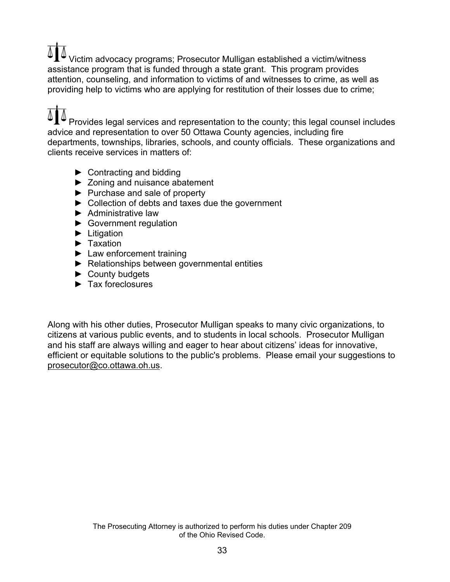Victim advocacy programs; Prosecutor Mulligan established a victim/witness assistance program that is funded through a state grant. This program provides attention, counseling, and information to victims of and witnesses to crime, as well as providing help to victims who are applying for restitution of their losses due to crime;

 Provides legal services and representation to the county; this legal counsel includes advice and representation to over 50 Ottawa County agencies, including fire departments, townships, libraries, schools, and county officials. These organizations and clients receive services in matters of:

- $\blacktriangleright$  Contracting and bidding
- ► Zoning and nuisance abatement
- ► Purchase and sale of property
- ► Collection of debts and taxes due the government
- ► Administrative law
- ► Government regulation
- ► Litigation
- ► Taxation
- ► Law enforcement training
- ► Relationships between governmental entities
- ► County budgets
- ► Tax foreclosures

Along with his other duties, Prosecutor Mulligan speaks to many civic organizations, to citizens at various public events, and to students in local schools. Prosecutor Mulligan and his staff are always willing and eager to hear about citizens' ideas for innovative, efficient or equitable solutions to the public's problems. Please email your suggestions to [prosecutor@co.ottawa.oh.us.](mailto:prosecutor@co.ottawa.oh.us)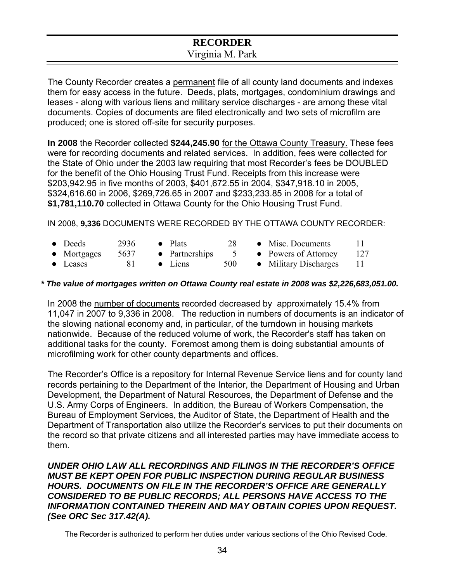### **RECORDER**  Virginia M. Park

The County Recorder creates a permanent file of all county land documents and indexes them for easy access in the future. Deeds, plats, mortgages, condominium drawings and leases - along with various liens and military service discharges - are among these vital documents. Copies of documents are filed electronically and two sets of microfilm are produced; one is stored off-site for security purposes.

**In 2008** the Recorder collected **\$244,245.90** for the Ottawa County Treasury. These fees were for recording documents and related services. In addition, fees were collected for the State of Ohio under the 2003 law requiring that most Recorder's fees be DOUBLED for the benefit of the Ohio Housing Trust Fund. Receipts from this increase were \$203,942.95 in five months of 2003, \$401,672.55 in 2004, \$347,918.10 in 2005, \$324,616.60 in 2006, \$269,726.65 in 2007 and \$233,233.85 in 2008 for a total of **\$1,781,110.70** collected in Ottawa County for the Ohio Housing Trust Fund.

IN 2008, **9,336** DOCUMENTS WERE RECORDED BY THE OTTAWA COUNTY RECORDER:

- Deeds 2936 Plats 28 Misc. Documents 11
	-
- 
- Mortgages 5637 Partnerships 5 Powers of Attorney 127
- 
- 
- 
- 
- Leases 81 Liens 500 Military Discharges 11

### *\* The value of mortgages written on Ottawa County real estate in 2008 was \$2,226,683,051.00.*

In 2008 the number of documents recorded decreased by approximately 15.4% from 11,047 in 2007 to 9,336 in 2008. The reduction in numbers of documents is an indicator of the slowing national economy and, in particular, of the turndown in housing markets nationwide. Because of the reduced volume of work, the Recorder's staff has taken on additional tasks for the county. Foremost among them is doing substantial amounts of microfilming work for other county departments and offices.

The Recorder's Office is a repository for Internal Revenue Service liens and for county land records pertaining to the Department of the Interior, the Department of Housing and Urban Development, the Department of Natural Resources, the Department of Defense and the U.S. Army Corps of Engineers. In addition, the Bureau of Workers Compensation, the Bureau of Employment Services, the Auditor of State, the Department of Health and the Department of Transportation also utilize the Recorder's services to put their documents on the record so that private citizens and all interested parties may have immediate access to them.

*UNDER OHIO LAW ALL RECORDINGS AND FILINGS IN THE RECORDER'S OFFICE MUST BE KEPT OPEN FOR PUBLIC INSPECTION DURING REGULAR BUSINESS HOURS. DOCUMENTS ON FILE IN THE RECORDER'S OFFICE ARE GENERALLY CONSIDERED TO BE PUBLIC RECORDS; ALL PERSONS HAVE ACCESS TO THE INFORMATION CONTAINED THEREIN AND MAY OBTAIN COPIES UPON REQUEST. (See ORC Sec 317.42(A).*

The Recorder is authorized to perform her duties under various sections of the Ohio Revised Code.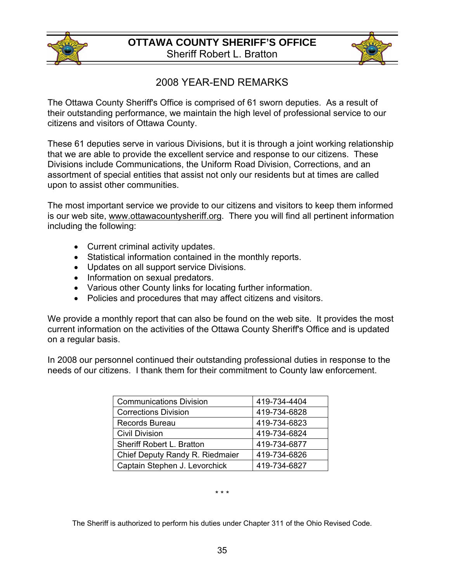



# 2008 YEAR-END REMARKS

The Ottawa County Sheriff's Office is comprised of 61 sworn deputies. As a result of their outstanding performance, we maintain the high level of professional service to our citizens and visitors of Ottawa County.

These 61 deputies serve in various Divisions, but it is through a joint working relationship that we are able to provide the excellent service and response to our citizens. These Divisions include Communications, the Uniform Road Division, Corrections, and an assortment of special entities that assist not only our residents but at times are called upon to assist other communities.

The most important service we provide to our citizens and visitors to keep them informed is our web site, [www.ottawacountysheriff.org.](http://www.ottawacountysheriff.org/) There you will find all pertinent information including the following:

- Current criminal activity updates.
- Statistical information contained in the monthly reports.
- Updates on all support service Divisions.
- Information on sexual predators.
- Various other County links for locating further information.
- Policies and procedures that may affect citizens and visitors.

We provide a monthly report that can also be found on the web site. It provides the most current information on the activities of the Ottawa County Sheriff's Office and is updated on a regular basis.

In 2008 our personnel continued their outstanding professional duties in response to the needs of our citizens. I thank them for their commitment to County law enforcement.

| <b>Communications Division</b>  | 419-734-4404 |
|---------------------------------|--------------|
| <b>Corrections Division</b>     | 419-734-6828 |
| <b>Records Bureau</b>           | 419-734-6823 |
| <b>Civil Division</b>           | 419-734-6824 |
| Sheriff Robert L. Bratton       | 419-734-6877 |
| Chief Deputy Randy R. Riedmaier | 419-734-6826 |
| Captain Stephen J. Levorchick   | 419-734-6827 |

\* \* \*

The Sheriff is authorized to perform his duties under Chapter 311 of the Ohio Revised Code.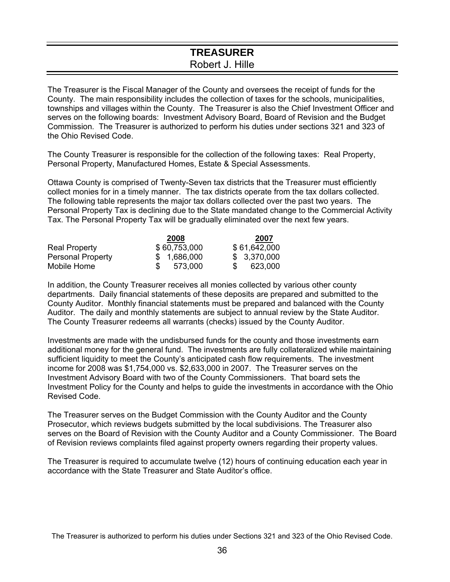### **TREASURER**  Robert J. Hille

The Treasurer is the Fiscal Manager of the County and oversees the receipt of funds for the County. The main responsibility includes the collection of taxes for the schools, municipalities, townships and villages within the County. The Treasurer is also the Chief Investment Officer and serves on the following boards: Investment Advisory Board, Board of Revision and the Budget Commission. The Treasurer is authorized to perform his duties under sections 321 and 323 of the Ohio Revised Code.

The County Treasurer is responsible for the collection of the following taxes: Real Property, Personal Property, Manufactured Homes, Estate & Special Assessments.

Ottawa County is comprised of Twenty-Seven tax districts that the Treasurer must efficiently collect monies for in a timely manner. The tax districts operate from the tax dollars collected. The following table represents the major tax dollars collected over the past two years. The Personal Property Tax is declining due to the State mandated change to the Commercial Activity Tax. The Personal Property Tax will be gradually eliminated over the next few years.

|                          | 2008         | 2007         |
|--------------------------|--------------|--------------|
| <b>Real Property</b>     | \$60,753,000 | \$61,642,000 |
| <b>Personal Property</b> | \$ 1,686,000 | \$3,370,000  |
| Mobile Home              | 573.000      | 623,000      |

In addition, the County Treasurer receives all monies collected by various other county departments. Daily financial statements of these deposits are prepared and submitted to the County Auditor. Monthly financial statements must be prepared and balanced with the County Auditor. The daily and monthly statements are subject to annual review by the State Auditor. The County Treasurer redeems all warrants (checks) issued by the County Auditor.

Investments are made with the undisbursed funds for the county and those investments earn additional money for the general fund. The investments are fully collateralized while maintaining sufficient liquidity to meet the County's anticipated cash flow requirements. The investment income for 2008 was \$1,754,000 vs. \$2,633,000 in 2007. The Treasurer serves on the Investment Advisory Board with two of the County Commissioners. That board sets the Investment Policy for the County and helps to guide the investments in accordance with the Ohio Revised Code.

The Treasurer serves on the Budget Commission with the County Auditor and the County Prosecutor, which reviews budgets submitted by the local subdivisions. The Treasurer also serves on the Board of Revision with the County Auditor and a County Commissioner. The Board of Revision reviews complaints filed against property owners regarding their property values.

The Treasurer is required to accumulate twelve (12) hours of continuing education each year in accordance with the State Treasurer and State Auditor's office.

The Treasurer is authorized to perform his duties under Sections 321 and 323 of the Ohio Revised Code.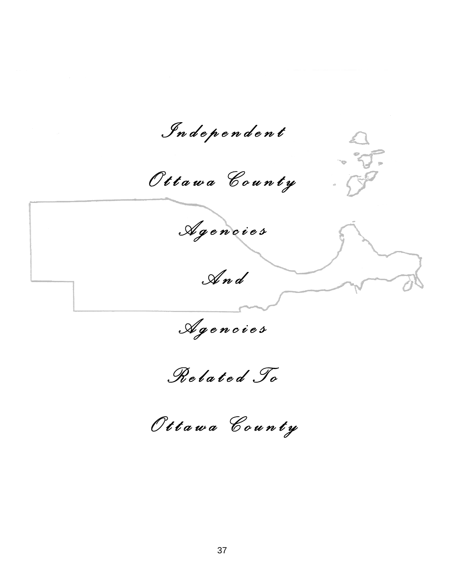*I n d e p e n d e n t O t t a w a C o u n t y A g e n c i e s*   $\boldsymbol{\zeta}$ *A n d A g e n c i e s R e l a t e d T o O t t a w a C o u n t y*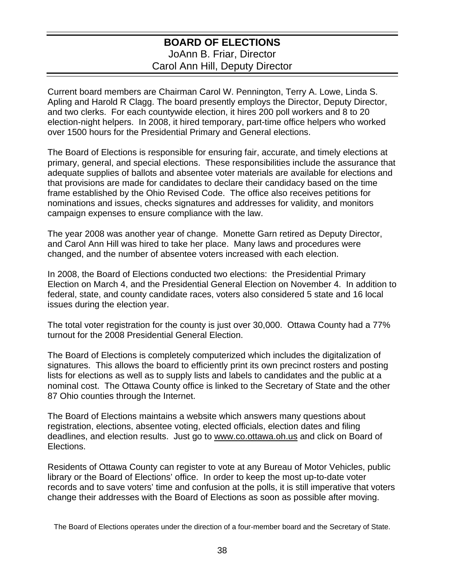### **BOARD OF ELECTIONS**  JoAnn B. Friar, Director Carol Ann Hill, Deputy Director

Current board members are Chairman Carol W. Pennington, Terry A. Lowe, Linda S. Apling and Harold R Clagg. The board presently employs the Director, Deputy Director, and two clerks. For each countywide election, it hires 200 poll workers and 8 to 20 election-night helpers. In 2008, it hired temporary, part-time office helpers who worked over 1500 hours for the Presidential Primary and General elections.

The Board of Elections is responsible for ensuring fair, accurate, and timely elections at primary, general, and special elections. These responsibilities include the assurance that adequate supplies of ballots and absentee voter materials are available for elections and that provisions are made for candidates to declare their candidacy based on the time frame established by the Ohio Revised Code. The office also receives petitions for nominations and issues, checks signatures and addresses for validity, and monitors campaign expenses to ensure compliance with the law.

The year 2008 was another year of change. Monette Garn retired as Deputy Director, and Carol Ann Hill was hired to take her place. Many laws and procedures were changed, and the number of absentee voters increased with each election.

In 2008, the Board of Elections conducted two elections: the Presidential Primary Election on March 4, and the Presidential General Election on November 4. In addition to federal, state, and county candidate races, voters also considered 5 state and 16 local issues during the election year.

The total voter registration for the county is just over 30,000. Ottawa County had a 77% turnout for the 2008 Presidential General Election.

The Board of Elections is completely computerized which includes the digitalization of signatures. This allows the board to efficiently print its own precinct rosters and posting lists for elections as well as to supply lists and labels to candidates and the public at a nominal cost. The Ottawa County office is linked to the Secretary of State and the other 87 Ohio counties through the Internet.

The Board of Elections maintains a website which answers many questions about registration, elections, absentee voting, elected officials, election dates and filing deadlines, and election results. Just go to www.co.ottawa.oh.us and click on Board of Elections.

Residents of Ottawa County can register to vote at any Bureau of Motor Vehicles, public library or the Board of Elections' office. In order to keep the most up-to-date voter records and to save voters' time and confusion at the polls, it is still imperative that voters change their addresses with the Board of Elections as soon as possible after moving.

The Board of Elections operates under the direction of a four-member board and the Secretary of State.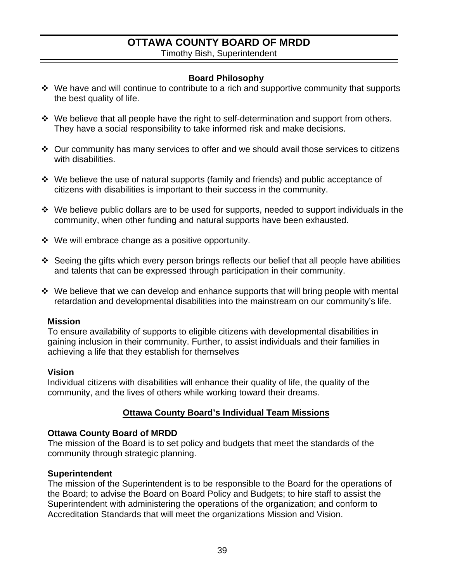# **OTTAWA COUNTY BOARD OF MRDD**

Timothy Bish, Superintendent

### **Board Philosophy**

- ◆ We have and will continue to contribute to a rich and supportive community that supports the best quality of life.
- We believe that all people have the right to self-determination and support from others. They have a social responsibility to take informed risk and make decisions.
- $\cdot$  Our community has many services to offer and we should avail those services to citizens with disabilities.
- We believe the use of natural supports (family and friends) and public acceptance of citizens with disabilities is important to their success in the community.
- $\cdot$  We believe public dollars are to be used for supports, needed to support individuals in the community, when other funding and natural supports have been exhausted.
- $\div$  We will embrace change as a positive opportunity.
- Seeing the gifts which every person brings reflects our belief that all people have abilities and talents that can be expressed through participation in their community.
- $\cdot$  We believe that we can develop and enhance supports that will bring people with mental retardation and developmental disabilities into the mainstream on our community's life.

### **Mission**

To ensure availability of supports to eligible citizens with developmental disabilities in gaining inclusion in their community. Further, to assist individuals and their families in achieving a life that they establish for themselves

### **Vision**

Individual citizens with disabilities will enhance their quality of life, the quality of the community, and the lives of others while working toward their dreams.

### **Ottawa County Board's Individual Team Missions**

### **Ottawa County Board of MRDD**

The mission of the Board is to set policy and budgets that meet the standards of the community through strategic planning.

#### **Superintendent**

The mission of the Superintendent is to be responsible to the Board for the operations of the Board; to advise the Board on Board Policy and Budgets; to hire staff to assist the Superintendent with administering the operations of the organization; and conform to Accreditation Standards that will meet the organizations Mission and Vision.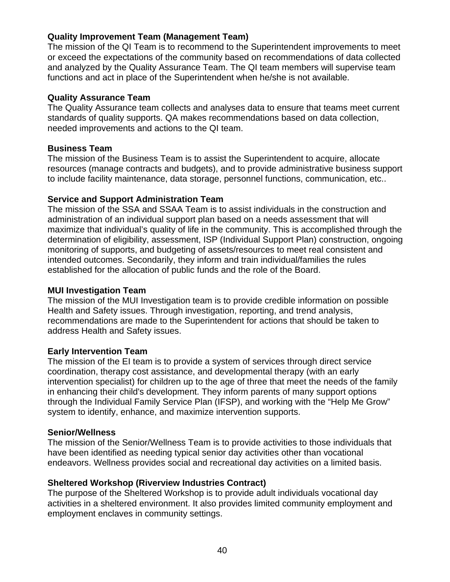### **Quality Improvement Team (Management Team)**

The mission of the QI Team is to recommend to the Superintendent improvements to meet or exceed the expectations of the community based on recommendations of data collected and analyzed by the Quality Assurance Team. The QI team members will supervise team functions and act in place of the Superintendent when he/she is not available.

#### **Quality Assurance Team**

The Quality Assurance team collects and analyses data to ensure that teams meet current standards of quality supports. QA makes recommendations based on data collection, needed improvements and actions to the QI team.

#### **Business Team**

The mission of the Business Team is to assist the Superintendent to acquire, allocate resources (manage contracts and budgets), and to provide administrative business support to include facility maintenance, data storage, personnel functions, communication, etc..

### **Service and Support Administration Team**

The mission of the SSA and SSAA Team is to assist individuals in the construction and administration of an individual support plan based on a needs assessment that will maximize that individual's quality of life in the community. This is accomplished through the determination of eligibility, assessment, ISP (Individual Support Plan) construction, ongoing monitoring of supports, and budgeting of assets/resources to meet real consistent and intended outcomes. Secondarily, they inform and train individual/families the rules established for the allocation of public funds and the role of the Board.

### **MUI Investigation Team**

The mission of the MUI Investigation team is to provide credible information on possible Health and Safety issues. Through investigation, reporting, and trend analysis, recommendations are made to the Superintendent for actions that should be taken to address Health and Safety issues.

### **Early Intervention Team**

The mission of the EI team is to provide a system of services through direct service coordination, therapy cost assistance, and developmental therapy (with an early intervention specialist) for children up to the age of three that meet the needs of the family in enhancing their child's development. They inform parents of many support options through the Individual Family Service Plan (IFSP), and working with the "Help Me Grow" system to identify, enhance, and maximize intervention supports.

### **Senior/Wellness**

The mission of the Senior/Wellness Team is to provide activities to those individuals that have been identified as needing typical senior day activities other than vocational endeavors. Wellness provides social and recreational day activities on a limited basis.

### **Sheltered Workshop (Riverview Industries Contract)**

The purpose of the Sheltered Workshop is to provide adult individuals vocational day activities in a sheltered environment. It also provides limited community employment and employment enclaves in community settings.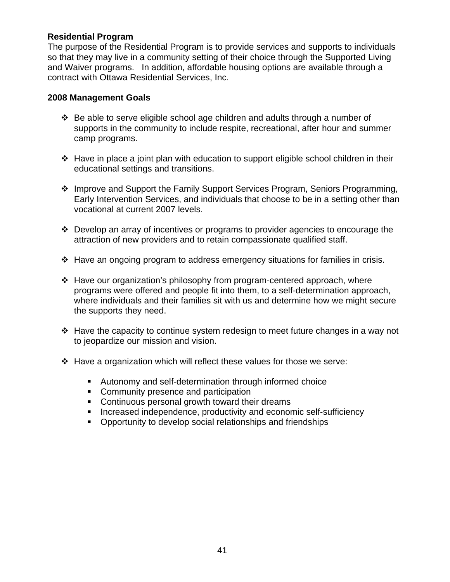### **Residential Program**

The purpose of the Residential Program is to provide services and supports to individuals so that they may live in a community setting of their choice through the Supported Living and Waiver programs. In addition, affordable housing options are available through a contract with Ottawa Residential Services, Inc.

#### **2008 Management Goals**

- $\div$  Be able to serve eligible school age children and adults through a number of supports in the community to include respite, recreational, after hour and summer camp programs.
- $\div$  Have in place a joint plan with education to support eligible school children in their educational settings and transitions.
- ❖ Improve and Support the Family Support Services Program, Seniors Programming, Early Intervention Services, and individuals that choose to be in a setting other than vocational at current 2007 levels.
- Develop an array of incentives or programs to provider agencies to encourage the attraction of new providers and to retain compassionate qualified staff.
- $\div$  Have an ongoing program to address emergency situations for families in crisis.
- Have our organization's philosophy from program-centered approach, where programs were offered and people fit into them, to a self-determination approach, where individuals and their families sit with us and determine how we might secure the supports they need.
- $\cdot$  Have the capacity to continue system redesign to meet future changes in a way not to jeopardize our mission and vision.
- $\div$  Have a organization which will reflect these values for those we serve:
	- Autonomy and self-determination through informed choice
	- Community presence and participation
	- **Continuous personal growth toward their dreams**
	- **Increased independence, productivity and economic self-sufficiency**
	- **Opportunity to develop social relationships and friendships**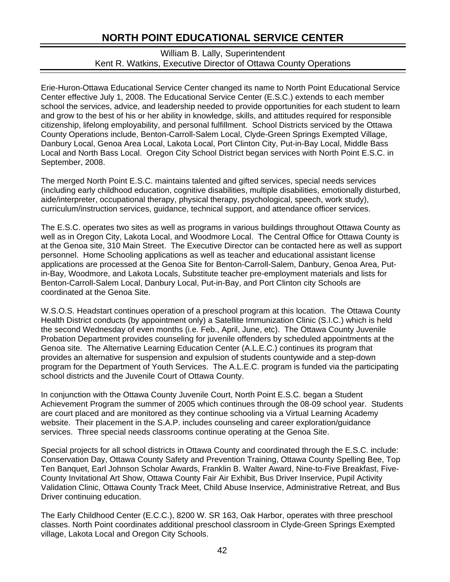# **NORTH POINT EDUCATIONAL SERVICE CENTER**

### William B. Lally, Superintendent Kent R. Watkins, Executive Director of Ottawa County Operations

Erie-Huron-Ottawa Educational Service Center changed its name to North Point Educational Service Center effective July 1, 2008. The Educational Service Center (E.S.C.) extends to each member school the services, advice, and leadership needed to provide opportunities for each student to learn and grow to the best of his or her ability in knowledge, skills, and attitudes required for responsible citizenship, lifelong employability, and personal fulfillment. School Districts serviced by the Ottawa County Operations include, Benton-Carroll-Salem Local, Clyde-Green Springs Exempted Village, Danbury Local, Genoa Area Local, Lakota Local, Port Clinton City, Put-in-Bay Local, Middle Bass Local and North Bass Local. Oregon City School District began services with North Point E.S.C. in September, 2008.

The merged North Point E.S.C. maintains talented and gifted services, special needs services (including early childhood education, cognitive disabilities, multiple disabilities, emotionally disturbed, aide/interpreter, occupational therapy, physical therapy, psychological, speech, work study), curriculum/instruction services, guidance, technical support, and attendance officer services.

The E.S.C. operates two sites as well as programs in various buildings throughout Ottawa County as well as in Oregon City, Lakota Local, and Woodmore Local. The Central Office for Ottawa County is at the Genoa site, 310 Main Street. The Executive Director can be contacted here as well as support personnel. Home Schooling applications as well as teacher and educational assistant license applications are processed at the Genoa Site for Benton-Carroll-Salem, Danbury, Genoa Area, Putin-Bay, Woodmore, and Lakota Locals, Substitute teacher pre-employment materials and lists for Benton-Carroll-Salem Local, Danbury Local, Put-in-Bay, and Port Clinton city Schools are coordinated at the Genoa Site.

W.S.O.S. Headstart continues operation of a preschool program at this location. The Ottawa County Health District conducts (by appointment only) a Satellite Immunization Clinic (S.I.C.) which is held the second Wednesday of even months (i.e. Feb., April, June, etc). The Ottawa County Juvenile Probation Department provides counseling for juvenile offenders by scheduled appointments at the Genoa site. The Alternative Learning Education Center (A.L.E.C.) continues its program that provides an alternative for suspension and expulsion of students countywide and a step-down program for the Department of Youth Services. The A.L.E.C. program is funded via the participating school districts and the Juvenile Court of Ottawa County.

In conjunction with the Ottawa County Juvenile Court, North Point E.S.C. began a Student Achievement Program the summer of 2005 which continues through the 08-09 school year. Students are court placed and are monitored as they continue schooling via a Virtual Learning Academy website. Their placement in the S.A.P. includes counseling and career exploration/guidance services. Three special needs classrooms continue operating at the Genoa Site.

Special projects for all school districts in Ottawa County and coordinated through the E.S.C. include: Conservation Day, Ottawa County Safety and Prevention Training, Ottawa County Spelling Bee, Top Ten Banquet, Earl Johnson Scholar Awards, Franklin B. Walter Award, Nine-to-Five Breakfast, Five-County Invitational Art Show, Ottawa County Fair Air Exhibit, Bus Driver Inservice, Pupil Activity Validation Clinic, Ottawa County Track Meet, Child Abuse Inservice, Administrative Retreat, and Bus Driver continuing education.

The Early Childhood Center (E.C.C.), 8200 W. SR 163, Oak Harbor, operates with three preschool classes. North Point coordinates additional preschool classroom in Clyde-Green Springs Exempted village, Lakota Local and Oregon City Schools.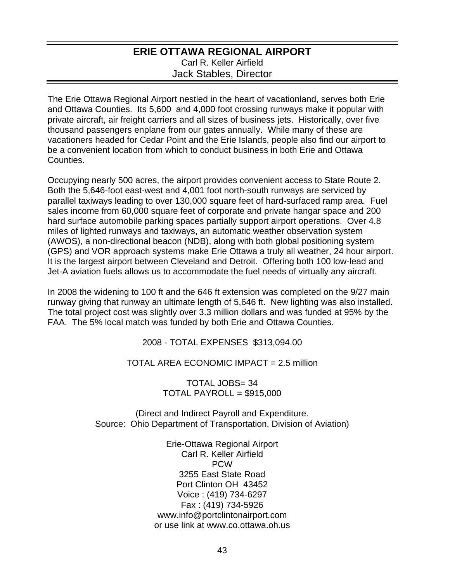### **ERIE OTTAWA REGIONAL AIRPORT**  Carl R. Keller Airfield Jack Stables, Director

The Erie Ottawa Regional Airport nestled in the heart of vacationland, serves both Erie and Ottawa Counties. Its 5,600 and 4,000 foot crossing runways make it popular with private aircraft, air freight carriers and all sizes of business jets. Historically, over five thousand passengers enplane from our gates annually. While many of these are vacationers headed for Cedar Point and the Erie Islands, people also find our airport to be a convenient location from which to conduct business in both Erie and Ottawa **Counties** 

Occupying nearly 500 acres, the airport provides convenient access to State Route 2. Both the 5,646-foot east-west and 4,001 foot north-south runways are serviced by parallel taxiways leading to over 130,000 square feet of hard-surfaced ramp area. Fuel sales income from 60,000 square feet of corporate and private hangar space and 200 hard surface automobile parking spaces partially support airport operations. Over 4.8 miles of lighted runways and taxiways, an automatic weather observation system (AWOS), a non-directional beacon (NDB), along with both global positioning system (GPS) and VOR approach systems make Erie Ottawa a truly all weather, 24 hour airport. It is the largest airport between Cleveland and Detroit. Offering both 100 low-lead and Jet-A aviation fuels allows us to accommodate the fuel needs of virtually any aircraft.

In 2008 the widening to 100 ft and the 646 ft extension was completed on the 9/27 main runway giving that runway an ultimate length of 5,646 ft. New lighting was also installed. The total project cost was slightly over 3.3 million dollars and was funded at 95% by the FAA. The 5% local match was funded by both Erie and Ottawa Counties.

2008 - TOTAL EXPENSES \$313,094.00

TOTAL AREA ECONOMIC IMPACT = 2.5 million

TOTAL JOBS= 34 TOTAL PAYROLL = \$915,000

(Direct and Indirect Payroll and Expenditure. Source: Ohio Department of Transportation, Division of Aviation)

> Erie-Ottawa Regional Airport Carl R. Keller Airfield PCW 3255 East State Road Port Clinton OH 43452 Voice : (419) 734-6297 Fax : (419) 734-5926 www.info@portclintonairport.com or use link at www.co.ottawa.oh.us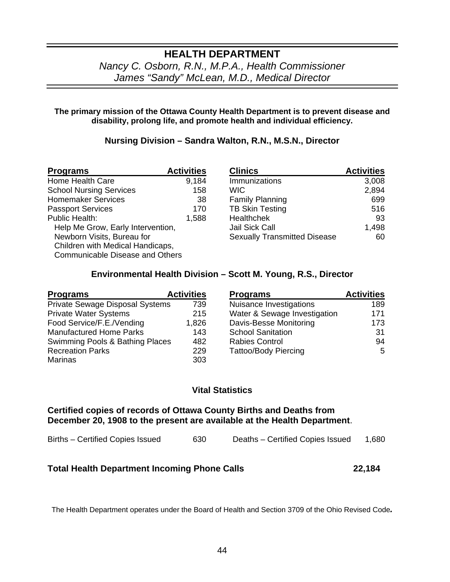### **HEALTH DEPARTMENT** *Nancy C. Osborn, R.N., M.P.A., Health Commissioner James "Sandy" McLean, M.D., Medical Director*

#### **The primary mission of the Ottawa County Health Department is to prevent disease and disability, prolong life, and promote health and individual efficiency.**

### **Nursing Division – Sandra Walton, R.N., M.S.N., Director**

| <b>Programs</b>                        | <b>Activities</b> | <b>Clinics</b>                      | <b>Activities</b> |
|----------------------------------------|-------------------|-------------------------------------|-------------------|
| Home Health Care                       | 9,184             | Immunizations                       | 3,008             |
| <b>School Nursing Services</b>         | 158               | WIC.                                | 2,894             |
| <b>Homemaker Services</b>              | 38                | <b>Family Planning</b>              | 699               |
| <b>Passport Services</b>               | 170               | <b>TB Skin Testing</b>              | 516               |
| Public Health:                         | 1,588             | Healthchek                          | 93                |
| Help Me Grow, Early Intervention,      |                   | Jail Sick Call                      | 1,498             |
| Newborn Visits, Bureau for             |                   | <b>Sexually Transmitted Disease</b> | 60                |
| Children with Medical Handicaps,       |                   |                                     |                   |
| <b>Communicable Disease and Others</b> |                   |                                     |                   |

| <b>Clinics</b>                      | <b>Activities</b> |
|-------------------------------------|-------------------|
| Immunizations                       | 3,008             |
| <b>WIC</b>                          | 2,894             |
| <b>Family Planning</b>              | 699               |
| <b>TB Skin Testing</b>              | 516               |
| <b>Healthchek</b>                   | 93                |
| Jail Sick Call                      | 1,498             |
| <b>Sexually Transmitted Disease</b> | 60                |

#### **Environmental Health Division – Scott M. Young, R.S., Director**

| <b>Programs</b>                 | <b>Activities</b> | <b>Programs</b>              | <b>Activities</b> |
|---------------------------------|-------------------|------------------------------|-------------------|
| Private Sewage Disposal Systems | 739               | Nuisance Investigations      | 189               |
| <b>Private Water Systems</b>    | 215               | Water & Sewage Investigation | 171               |
| Food Service/F.E./Vending       | 1,826             | Davis-Besse Monitoring       | 173               |
| <b>Manufactured Home Parks</b>  | 143               | <b>School Sanitation</b>     | 31                |
| Swimming Pools & Bathing Places | 482               | <b>Rabies Control</b>        | 94                |
| <b>Recreation Parks</b>         | 229               | <b>Tattoo/Body Piercing</b>  | 5                 |
| Marinas                         | 303               |                              |                   |

| <b>Programs</b>              | <b>Activities</b> |
|------------------------------|-------------------|
| Nuisance Investigations      | 189               |
| Water & Sewage Investigation | 171               |
| Davis-Besse Monitoring       | 173               |
| <b>School Sanitation</b>     | 31                |
| <b>Rabies Control</b>        | 94                |
| <b>Tattoo/Body Piercing</b>  | 5                 |

#### **Vital Statistics**

**Certified copies of records of Ottawa County Births and Deaths from December 20, 1908 to the present are available at the Health Department**.

| Births – Certified Copies Issued |  |  | 630 | Deaths - Certified Copies Issued | 1,680 |
|----------------------------------|--|--|-----|----------------------------------|-------|
|----------------------------------|--|--|-----|----------------------------------|-------|

### **Total Health Department Incoming Phone Calls****22,184**

The Health Department operates under the Board of Health and Section 3709 of the Ohio Revised Code*.*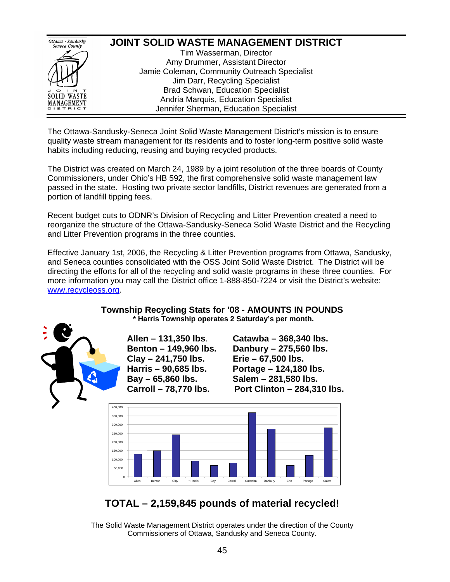

The Ottawa-Sandusky-Seneca Joint Solid Waste Management District's mission is to ensure quality waste stream management for its residents and to foster long-term positive solid waste habits including reducing, reusing and buying recycled products.

The District was created on March 24, 1989 by a joint resolution of the three boards of County Commissioners, under Ohio's HB 592, the first comprehensive solid waste management law passed in the state. Hosting two private sector landfills, District revenues are generated from a portion of landfill tipping fees.

Recent budget cuts to ODNR's Division of Recycling and Litter Prevention created a need to reorganize the structure of the Ottawa-Sandusky-Seneca Solid Waste District and the Recycling and Litter Prevention programs in the three counties.

Effective January 1st, 2006, the Recycling & Litter Prevention programs from Ottawa, Sandusky, and Seneca counties consolidated with the OSS Joint Solid Waste District. The District will be directing the efforts for all of the recycling and solid waste programs in these three counties. For more information you may call the District office 1-888-850-7224 or visit the District's website: [www.recycleoss.org.](http://www.recycleoss.org/)

#### **Township Recycling Stats for '08 - AMOUNTS IN POUNDS \* Harris Township operates 2 Saturday's per month.**



**Clay – 241,750 lbs. Erie – 67,500 lbs. Bay – 65,860 lbs. Salem – 281,580 lbs.** 

**Allen – 131,350 lbs**. **Catawba – 368,340 lbs. Benton – 149,960 lbs. Danbury – 275,560 lbs. Harris – 90,685 lbs. Portage – 124,180 lbs. Carroll – 78,770 lbs. Port Clinton – 284,310 lbs.** 



# **TOTAL – 2,159,845 pounds of material recycled!**

The Solid Waste Management District operates under the direction of the County Commissioners of Ottawa, Sandusky and Seneca County.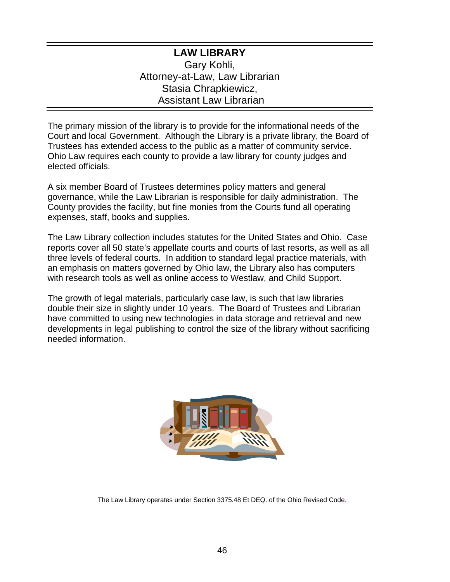### **LAW LIBRARY**  Gary Kohli, Attorney-at-Law, Law Librarian Stasia Chrapkiewicz, Assistant Law Librarian

The primary mission of the library is to provide for the informational needs of the Court and local Government. Although the Library is a private library, the Board of Trustees has extended access to the public as a matter of community service. Ohio Law requires each county to provide a law library for county judges and elected officials.

A six member Board of Trustees determines policy matters and general governance, while the Law Librarian is responsible for daily administration. The County provides the facility, but fine monies from the Courts fund all operating expenses, staff, books and supplies.

The Law Library collection includes statutes for the United States and Ohio. Case reports cover all 50 state's appellate courts and courts of last resorts, as well as all three levels of federal courts. In addition to standard legal practice materials, with an emphasis on matters governed by Ohio law, the Library also has computers with research tools as well as online access to Westlaw, and Child Support.

The growth of legal materials, particularly case law, is such that law libraries double their size in slightly under 10 years. The Board of Trustees and Librarian have committed to using new technologies in data storage and retrieval and new developments in legal publishing to control the size of the library without sacrificing needed information.



The Law Library operates under Section 3375.48 Et DEQ. of the Ohio Revised Code.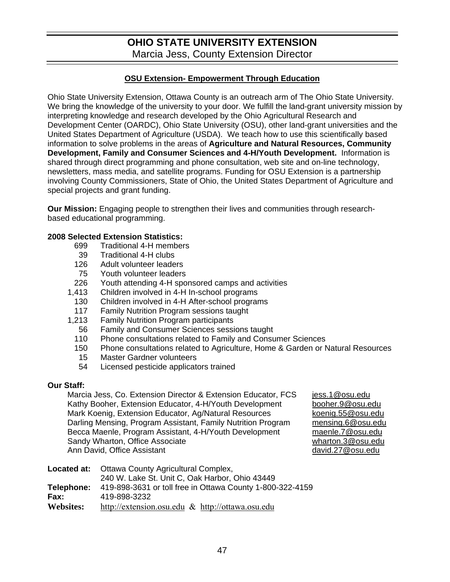# **OHIO STATE UNIVERSITY EXTENSION**  Marcia Jess, County Extension Director

#### **OSU Extension- Empowerment Through Education**

Ohio State University Extension, Ottawa County is an outreach arm of The Ohio State University. We bring the knowledge of the university to your door. We fulfill the land-grant university mission by interpreting knowledge and research developed by the Ohio Agricultural Research and Development Center (OARDC), Ohio State University (OSU), other land-grant universities and the United States Department of Agriculture (USDA). We teach how to use this scientifically based information to solve problems in the areas of **Agriculture and Natural Resources, Community Development, Family and Consumer Sciences and 4-H/Youth Development.** Information is shared through direct programming and phone consultation, web site and on-line technology, newsletters, mass media, and satellite programs. Funding for OSU Extension is a partnership involving County Commissioners, State of Ohio, the United States Department of Agriculture and special projects and grant funding.

**Our Mission:** Engaging people to strengthen their lives and communities through researchbased educational programming.

#### **2008 Selected Extension Statistics:**

- 699 Traditional 4-H members
- 39 Traditional 4-H clubs
- 126 Adult volunteer leaders
- 75 Youth volunteer leaders
- 226 Youth attending 4-H sponsored camps and activities
- 1,413 Children involved in 4-H In-school programs
- 130 Children involved in 4-H After-school programs
- 117 Family Nutrition Program sessions taught
- 1,213 Family Nutrition Program participants
	- 56 Family and Consumer Sciences sessions taught
	- 110 Phone consultations related to Family and Consumer Sciences
	- 150 Phone consultations related to Agriculture, Home & Garden or Natural Resources
	- 15 Master Gardner volunteers
	- 54 Licensed pesticide applicators trained

#### **Our Staff:**

Marcia Jess, Co. Extension Director & Extension Educator, FCS [jess.1@osu.edu](mailto:jess.1@osu.edu) Kathy Booher, Extension Educator, 4-H/Youth Development [booher.9@osu.edu](mailto:booher.9@osu.edu) Mark Koenig, Extension Educator, Ag/Natural Resources [koenig.55@osu.edu](mailto:koenig.55@osu.edu) Darling Mensing, Program Assistant, Family Nutrition Program [mensing.6@osu.edu](mailto:mensing.6@osu.edu) Becca Maenle, Program Assistant, 4-H/Youth Development [maenle.7@osu.edu](mailto:gibbs.141@osu.edu) Sandy Wharton, Office Associate<br>
Ann David, Office Assistant<br>
Ann David, Office Assistant<br>
Wharton.3@osu.edu Ann David, Office Assistant

| Located at:      | Ottawa County Agricultural Complex,                       |
|------------------|-----------------------------------------------------------|
|                  | 240 W. Lake St. Unit C, Oak Harbor, Ohio 43449            |
| Telephone:       | 419-898-3631 or toll free in Ottawa County 1-800-322-4159 |
| Fax:             | 419-898-3232                                              |
| <b>Websites:</b> | http://extension.osu.edu $\&$ http://ottawa.osu.edu       |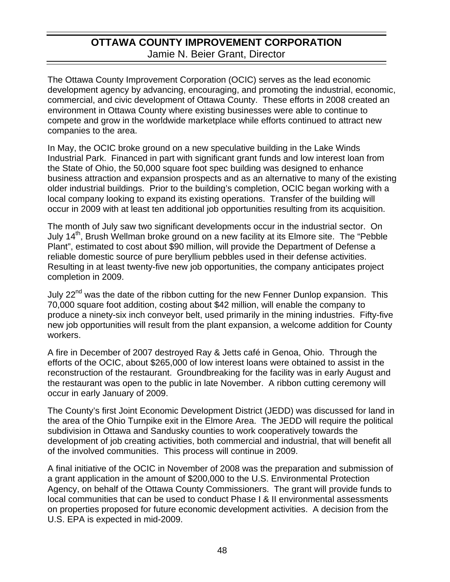# **OTTAWA COUNTY IMPROVEMENT CORPORATION**  Jamie N. Beier Grant, Director

The Ottawa County Improvement Corporation (OCIC) serves as the lead economic development agency by advancing, encouraging, and promoting the industrial, economic, commercial, and civic development of Ottawa County. These efforts in 2008 created an environment in Ottawa County where existing businesses were able to continue to compete and grow in the worldwide marketplace while efforts continued to attract new companies to the area.

In May, the OCIC broke ground on a new speculative building in the Lake Winds Industrial Park. Financed in part with significant grant funds and low interest loan from the State of Ohio, the 50,000 square foot spec building was designed to enhance business attraction and expansion prospects and as an alternative to many of the existing older industrial buildings. Prior to the building's completion, OCIC began working with a local company looking to expand its existing operations. Transfer of the building will occur in 2009 with at least ten additional job opportunities resulting from its acquisition.

The month of July saw two significant developments occur in the industrial sector. On July 14<sup>th</sup>, Brush Wellman broke ground on a new facility at its Elmore site. The "Pebble Plant", estimated to cost about \$90 million, will provide the Department of Defense a reliable domestic source of pure beryllium pebbles used in their defense activities. Resulting in at least twenty-five new job opportunities, the company anticipates project completion in 2009.

July 22<sup>nd</sup> was the date of the ribbon cutting for the new Fenner Dunlop expansion. This 70,000 square foot addition, costing about \$42 million, will enable the company to produce a ninety-six inch conveyor belt, used primarily in the mining industries. Fifty-five new job opportunities will result from the plant expansion, a welcome addition for County workers.

A fire in December of 2007 destroyed Ray & Jetts café in Genoa, Ohio. Through the efforts of the OCIC, about \$265,000 of low interest loans were obtained to assist in the reconstruction of the restaurant. Groundbreaking for the facility was in early August and the restaurant was open to the public in late November. A ribbon cutting ceremony will occur in early January of 2009.

The County's first Joint Economic Development District (JEDD) was discussed for land in the area of the Ohio Turnpike exit in the Elmore Area. The JEDD will require the political subdivision in Ottawa and Sandusky counties to work cooperatively towards the development of job creating activities, both commercial and industrial, that will benefit all of the involved communities. This process will continue in 2009.

A final initiative of the OCIC in November of 2008 was the preparation and submission of a grant application in the amount of \$200,000 to the U.S. Environmental Protection Agency, on behalf of the Ottawa County Commissioners. The grant will provide funds to local communities that can be used to conduct Phase I & II environmental assessments on properties proposed for future economic development activities. A decision from the U.S. EPA is expected in mid-2009.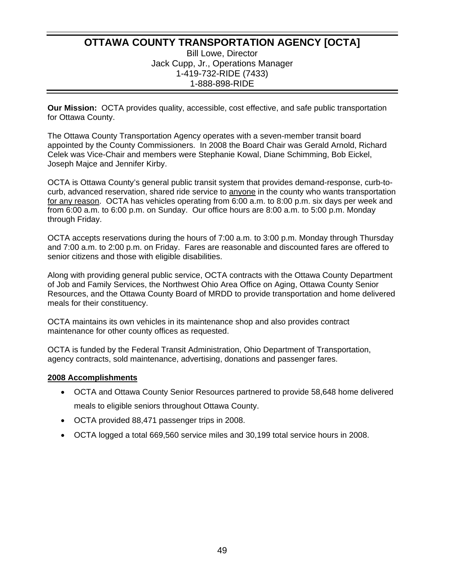### **OTTAWA COUNTY TRANSPORTATION AGENCY [OCTA]**  Bill Lowe, Director Jack Cupp, Jr., Operations Manager 1-419-732-RIDE (7433) 1-888-898-RIDE

**Our Mission:** OCTA provides quality, accessible, cost effective, and safe public transportation for Ottawa County.

The Ottawa County Transportation Agency operates with a seven-member transit board appointed by the County Commissioners. In 2008 the Board Chair was Gerald Arnold, Richard Celek was Vice-Chair and members were Stephanie Kowal, Diane Schimming, Bob Eickel, Joseph Majce and Jennifer Kirby.

OCTA is Ottawa County's general public transit system that provides demand-response, curb-tocurb, advanced reservation, shared ride service to anyone in the county who wants transportation for any reason. OCTA has vehicles operating from 6:00 a.m. to 8:00 p.m. six days per week and from 6:00 a.m. to 6:00 p.m. on Sunday. Our office hours are 8:00 a.m. to 5:00 p.m. Monday through Friday.

OCTA accepts reservations during the hours of 7:00 a.m. to 3:00 p.m. Monday through Thursday and 7:00 a.m. to 2:00 p.m. on Friday. Fares are reasonable and discounted fares are offered to senior citizens and those with eligible disabilities.

Along with providing general public service, OCTA contracts with the Ottawa County Department of Job and Family Services, the Northwest Ohio Area Office on Aging, Ottawa County Senior Resources, and the Ottawa County Board of MRDD to provide transportation and home delivered meals for their constituency.

OCTA maintains its own vehicles in its maintenance shop and also provides contract maintenance for other county offices as requested.

OCTA is funded by the Federal Transit Administration, Ohio Department of Transportation, agency contracts, sold maintenance, advertising, donations and passenger fares.

#### **2008 Accomplishments**

- OCTA and Ottawa County Senior Resources partnered to provide 58,648 home delivered meals to eligible seniors throughout Ottawa County.
- OCTA provided 88,471 passenger trips in 2008.
- OCTA logged a total 669,560 service miles and 30,199 total service hours in 2008.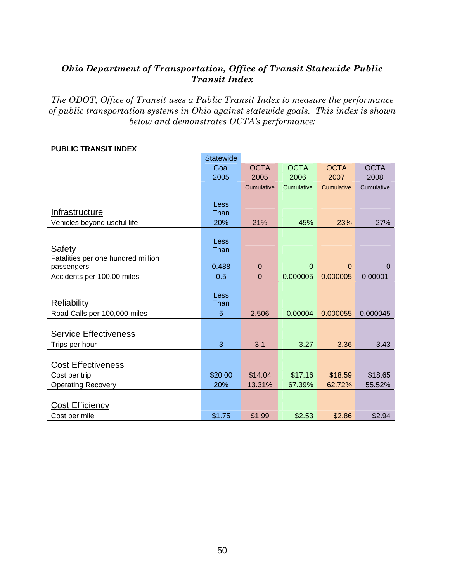### *Ohio Department of Transportation, Office of Transit Statewide Public Transit Index*

*The ODOT, Office of Transit uses a Public Transit Index to measure the performance of public transportation systems in Ohio against statewide goals. This index is shown below and demonstrates OCTA's performance:* 

|                                    | <b>Statewide</b> |                |             |             |             |
|------------------------------------|------------------|----------------|-------------|-------------|-------------|
|                                    | Goal             | <b>OCTA</b>    | <b>OCTA</b> | <b>OCTA</b> | <b>OCTA</b> |
|                                    | 2005             | 2005           | 2006        | 2007        | 2008        |
|                                    |                  | Cumulative     | Cumulative  | Cumulative  | Cumulative  |
|                                    |                  |                |             |             |             |
| Infrastructure                     | Less<br>Than     |                |             |             |             |
| Vehicles beyond useful life        | 20%              | 21%            | 45%         | 23%         | 27%         |
|                                    |                  |                |             |             |             |
|                                    | Less             |                |             |             |             |
| Safety                             | Than             |                |             |             |             |
| Fatalities per one hundred million |                  |                |             |             |             |
| passengers                         | 0.488            | $\mathbf 0$    | $\mathbf 0$ | $\Omega$    | $\mathbf 0$ |
| Accidents per 100,00 miles         | 0.5              | $\overline{0}$ | 0.000005    | 0.000005    | 0.00001     |
|                                    | Less             |                |             |             |             |
| <b>Reliability</b>                 | Than             |                |             |             |             |
| Road Calls per 100,000 miles       | 5                | 2.506          | 0.00004     | 0.000055    | 0.000045    |
|                                    |                  |                |             |             |             |
| <b>Service Effectiveness</b>       |                  |                |             |             |             |
| Trips per hour                     | 3                | 3.1            | 3.27        | 3.36        | 3.43        |
|                                    |                  |                |             |             |             |
| <b>Cost Effectiveness</b>          |                  |                |             |             |             |
| Cost per trip                      | \$20.00          | \$14.04        | \$17.16     | \$18.59     | \$18.65     |
| <b>Operating Recovery</b>          | 20%              | 13.31%         | 67.39%      | 62.72%      | 55.52%      |
|                                    |                  |                |             |             |             |
| <b>Cost Efficiency</b>             |                  |                |             |             |             |
| Cost per mile                      | \$1.75           | \$1.99         | \$2.53      | \$2.86      | \$2.94      |

#### **PUBLIC TRANSIT INDEX**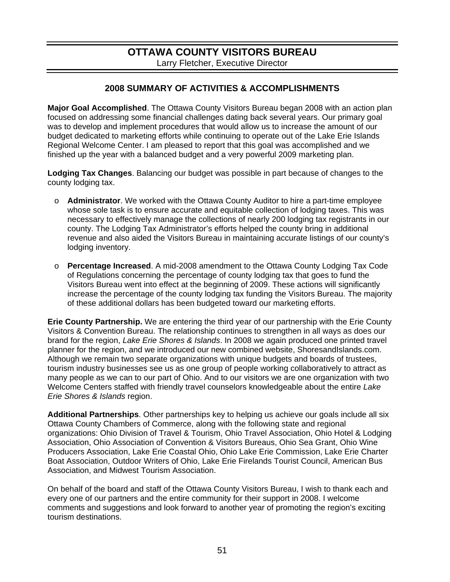### **OTTAWA COUNTY VISITORS BUREAU**  Larry Fletcher, Executive Director

### **2008 SUMMARY OF ACTIVITIES & ACCOMPLISHMENTS**

**Major Goal Accomplished**. The Ottawa County Visitors Bureau began 2008 with an action plan focused on addressing some financial challenges dating back several years. Our primary goal was to develop and implement procedures that would allow us to increase the amount of our budget dedicated to marketing efforts while continuing to operate out of the Lake Erie Islands Regional Welcome Center. I am pleased to report that this goal was accomplished and we finished up the year with a balanced budget and a very powerful 2009 marketing plan.

**Lodging Tax Changes**. Balancing our budget was possible in part because of changes to the county lodging tax.

- o **Administrator**. We worked with the Ottawa County Auditor to hire a part-time employee whose sole task is to ensure accurate and equitable collection of lodging taxes. This was necessary to effectively manage the collections of nearly 200 lodging tax registrants in our county. The Lodging Tax Administrator's efforts helped the county bring in additional revenue and also aided the Visitors Bureau in maintaining accurate listings of our county's lodging inventory.
- o **Percentage Increased**. A mid-2008 amendment to the Ottawa County Lodging Tax Code of Regulations concerning the percentage of county lodging tax that goes to fund the Visitors Bureau went into effect at the beginning of 2009. These actions will significantly increase the percentage of the county lodging tax funding the Visitors Bureau. The majority of these additional dollars has been budgeted toward our marketing efforts.

**Erie County Partnership.** We are entering the third year of our partnership with the Erie County Visitors & Convention Bureau. The relationship continues to strengthen in all ways as does our brand for the region, *Lake Erie Shores & Islands*. In 2008 we again produced one printed travel planner for the region, and we introduced our new combined website, ShoresandIslands.com. Although we remain two separate organizations with unique budgets and boards of trustees, tourism industry businesses see us as one group of people working collaboratively to attract as many people as we can to our part of Ohio. And to our visitors we are one organization with two Welcome Centers staffed with friendly travel counselors knowledgeable about the entire *Lake Erie Shores & Islands* region.

**Additional Partnerships**. Other partnerships key to helping us achieve our goals include all six Ottawa County Chambers of Commerce, along with the following state and regional organizations: Ohio Division of Travel & Tourism, Ohio Travel Association, Ohio Hotel & Lodging Association, Ohio Association of Convention & Visitors Bureaus, Ohio Sea Grant, Ohio Wine Producers Association, Lake Erie Coastal Ohio, Ohio Lake Erie Commission, Lake Erie Charter Boat Association, Outdoor Writers of Ohio, Lake Erie Firelands Tourist Council, American Bus Association, and Midwest Tourism Association.

On behalf of the board and staff of the Ottawa County Visitors Bureau, I wish to thank each and every one of our partners and the entire community for their support in 2008. I welcome comments and suggestions and look forward to another year of promoting the region's exciting tourism destinations.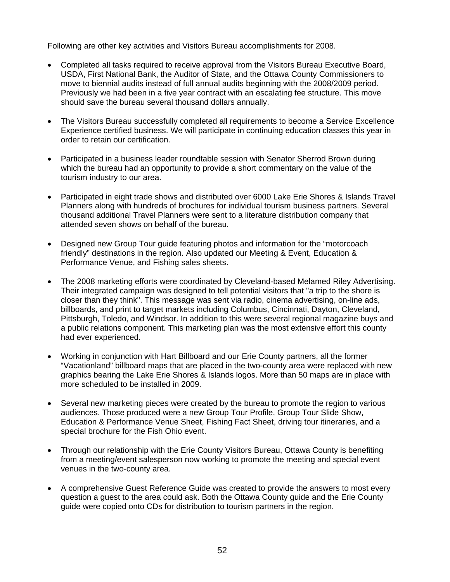Following are other key activities and Visitors Bureau accomplishments for 2008.

- Completed all tasks required to receive approval from the Visitors Bureau Executive Board, USDA, First National Bank, the Auditor of State, and the Ottawa County Commissioners to move to biennial audits instead of full annual audits beginning with the 2008/2009 period. Previously we had been in a five year contract with an escalating fee structure. This move should save the bureau several thousand dollars annually.
- The Visitors Bureau successfully completed all requirements to become a Service Excellence Experience certified business. We will participate in continuing education classes this year in order to retain our certification.
- Participated in a business leader roundtable session with Senator Sherrod Brown during which the bureau had an opportunity to provide a short commentary on the value of the tourism industry to our area.
- Participated in eight trade shows and distributed over 6000 Lake Erie Shores & Islands Travel Planners along with hundreds of brochures for individual tourism business partners. Several thousand additional Travel Planners were sent to a literature distribution company that attended seven shows on behalf of the bureau.
- Designed new Group Tour guide featuring photos and information for the "motorcoach" friendly" destinations in the region. Also updated our Meeting & Event, Education & Performance Venue, and Fishing sales sheets.
- The 2008 marketing efforts were coordinated by Cleveland-based Melamed Riley Advertising. Their integrated campaign was designed to tell potential visitors that "a trip to the shore is closer than they think". This message was sent via radio, cinema advertising, on-line ads, billboards, and print to target markets including Columbus, Cincinnati, Dayton, Cleveland, Pittsburgh, Toledo, and Windsor. In addition to this were several regional magazine buys and a public relations component. This marketing plan was the most extensive effort this county had ever experienced.
- Working in conjunction with Hart Billboard and our Erie County partners, all the former "Vacationland" billboard maps that are placed in the two-county area were replaced with new graphics bearing the Lake Erie Shores & Islands logos. More than 50 maps are in place with more scheduled to be installed in 2009.
- Several new marketing pieces were created by the bureau to promote the region to various audiences. Those produced were a new Group Tour Profile, Group Tour Slide Show, Education & Performance Venue Sheet, Fishing Fact Sheet, driving tour itineraries, and a special brochure for the Fish Ohio event.
- Through our relationship with the Erie County Visitors Bureau, Ottawa County is benefiting from a meeting/event salesperson now working to promote the meeting and special event venues in the two-county area.
- A comprehensive Guest Reference Guide was created to provide the answers to most every question a guest to the area could ask. Both the Ottawa County guide and the Erie County guide were copied onto CDs for distribution to tourism partners in the region.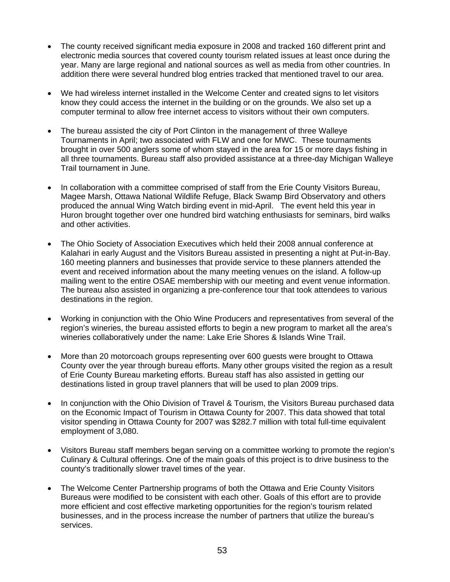- The county received significant media exposure in 2008 and tracked 160 different print and electronic media sources that covered county tourism related issues at least once during the year. Many are large regional and national sources as well as media from other countries. In addition there were several hundred blog entries tracked that mentioned travel to our area.
- We had wireless internet installed in the Welcome Center and created signs to let visitors know they could access the internet in the building or on the grounds. We also set up a computer terminal to allow free internet access to visitors without their own computers.
- The bureau assisted the city of Port Clinton in the management of three Walleye Tournaments in April; two associated with FLW and one for MWC. These tournaments brought in over 500 anglers some of whom stayed in the area for 15 or more days fishing in all three tournaments. Bureau staff also provided assistance at a three-day Michigan Walleye Trail tournament in June.
- In collaboration with a committee comprised of staff from the Erie County Visitors Bureau, Magee Marsh, Ottawa National Wildlife Refuge, Black Swamp Bird Observatory and others produced the annual Wing Watch birding event in mid-April. The event held this year in Huron brought together over one hundred bird watching enthusiasts for seminars, bird walks and other activities.
- The Ohio Society of Association Executives which held their 2008 annual conference at Kalahari in early August and the Visitors Bureau assisted in presenting a night at Put-in-Bay. 160 meeting planners and businesses that provide service to these planners attended the event and received information about the many meeting venues on the island. A follow-up mailing went to the entire OSAE membership with our meeting and event venue information. The bureau also assisted in organizing a pre-conference tour that took attendees to various destinations in the region.
- Working in conjunction with the Ohio Wine Producers and representatives from several of the region's wineries, the bureau assisted efforts to begin a new program to market all the area's wineries collaboratively under the name: Lake Erie Shores & Islands Wine Trail.
- More than 20 motorcoach groups representing over 600 guests were brought to Ottawa County over the year through bureau efforts. Many other groups visited the region as a result of Erie County Bureau marketing efforts. Bureau staff has also assisted in getting our destinations listed in group travel planners that will be used to plan 2009 trips.
- In conjunction with the Ohio Division of Travel & Tourism, the Visitors Bureau purchased data on the Economic Impact of Tourism in Ottawa County for 2007. This data showed that total visitor spending in Ottawa County for 2007 was \$282.7 million with total full-time equivalent employment of 3,080.
- Visitors Bureau staff members began serving on a committee working to promote the region's Culinary & Cultural offerings. One of the main goals of this project is to drive business to the county's traditionally slower travel times of the year.
- The Welcome Center Partnership programs of both the Ottawa and Erie County Visitors Bureaus were modified to be consistent with each other. Goals of this effort are to provide more efficient and cost effective marketing opportunities for the region's tourism related businesses, and in the process increase the number of partners that utilize the bureau's services.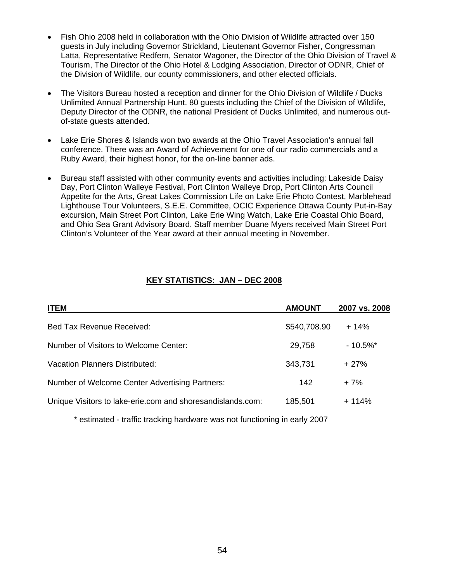- Fish Ohio 2008 held in collaboration with the Ohio Division of Wildlife attracted over 150 guests in July including Governor Strickland, Lieutenant Governor Fisher, Congressman Latta, Representative Redfern, Senator Wagoner, the Director of the Ohio Division of Travel & Tourism, The Director of the Ohio Hotel & Lodging Association, Director of ODNR, Chief of the Division of Wildlife, our county commissioners, and other elected officials.
- The Visitors Bureau hosted a reception and dinner for the Ohio Division of Wildlife / Ducks Unlimited Annual Partnership Hunt. 80 guests including the Chief of the Division of Wildlife, Deputy Director of the ODNR, the national President of Ducks Unlimited, and numerous outof-state guests attended.
- Lake Erie Shores & Islands won two awards at the Ohio Travel Association's annual fall conference. There was an Award of Achievement for one of our radio commercials and a Ruby Award, their highest honor, for the on-line banner ads.
- Bureau staff assisted with other community events and activities including: Lakeside Daisy Day, Port Clinton Walleye Festival, Port Clinton Walleye Drop, Port Clinton Arts Council Appetite for the Arts, Great Lakes Commission Life on Lake Erie Photo Contest, Marblehead Lighthouse Tour Volunteers, S.E.E. Committee, OCIC Experience Ottawa County Put-in-Bay excursion, Main Street Port Clinton, Lake Erie Wing Watch, Lake Erie Coastal Ohio Board, and Ohio Sea Grant Advisory Board. Staff member Duane Myers received Main Street Port Clinton's Volunteer of the Year award at their annual meeting in November.

### **KEY STATISTICS: JAN – DEC 2008**

| <b>ITEM</b>                                                | <b>AMOUNT</b> | 2007 vs. 2008          |
|------------------------------------------------------------|---------------|------------------------|
| Bed Tax Revenue Received:                                  | \$540,708.90  | $+14%$                 |
| Number of Visitors to Welcome Center:                      | 29,758        | $-10.5\%$ <sup>*</sup> |
| <b>Vacation Planners Distributed:</b>                      | 343,731       | $+27%$                 |
| Number of Welcome Center Advertising Partners:             | 142           | $+7%$                  |
| Unique Visitors to lake-erie.com and shoresandislands.com: | 185,501       | $+114%$                |

\* estimated - traffic tracking hardware was not functioning in early 2007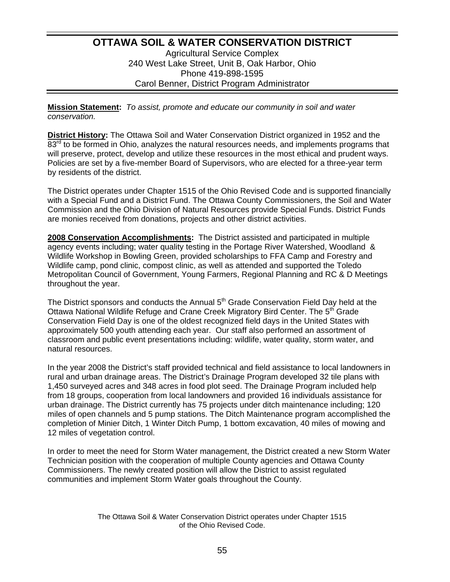### **OTTAWA SOIL & WATER CONSERVATION DISTRICT** Agricultural Service Complex 240 West Lake Street, Unit B, Oak Harbor, Ohio Phone 419-898-1595 Carol Benner, District Program Administrator

**Mission Statement:** *To assist, promote and educate our community in soil and water conservation.*

**District History:** The Ottawa Soil and Water Conservation District organized in 1952 and the  $83<sup>rd</sup>$  to be formed in Ohio, analyzes the natural resources needs, and implements programs that will preserve, protect, develop and utilize these resources in the most ethical and prudent ways. Policies are set by a five-member Board of Supervisors, who are elected for a three-year term by residents of the district.

The District operates under Chapter 1515 of the Ohio Revised Code and is supported financially with a Special Fund and a District Fund. The Ottawa County Commissioners, the Soil and Water Commission and the Ohio Division of Natural Resources provide Special Funds. District Funds are monies received from donations, projects and other district activities.

**2008 Conservation Accomplishments:** The District assisted and participated in multiple agency events including; water quality testing in the Portage River Watershed, Woodland & Wildlife Workshop in Bowling Green, provided scholarships to FFA Camp and Forestry and Wildlife camp, pond clinic, compost clinic, as well as attended and supported the Toledo Metropolitan Council of Government, Young Farmers, Regional Planning and RC & D Meetings throughout the year.

The District sponsors and conducts the Annual  $5<sup>th</sup>$  Grade Conservation Field Day held at the Ottawa National Wildlife Refuge and Crane Creek Migratory Bird Center. The 5<sup>th</sup> Grade Conservation Field Day is one of the oldest recognized field days in the United States with approximately 500 youth attending each year. Our staff also performed an assortment of classroom and public event presentations including: wildlife, water quality, storm water, and natural resources.

In the year 2008 the District's staff provided technical and field assistance to local landowners in rural and urban drainage areas. The District's Drainage Program developed 32 tile plans with 1,450 surveyed acres and 348 acres in food plot seed. The Drainage Program included help from 18 groups, cooperation from local landowners and provided 16 individuals assistance for urban drainage. The District currently has 75 projects under ditch maintenance including; 120 miles of open channels and 5 pump stations. The Ditch Maintenance program accomplished the completion of Minier Ditch, 1 Winter Ditch Pump, 1 bottom excavation, 40 miles of mowing and 12 miles of vegetation control.

In order to meet the need for Storm Water management, the District created a new Storm Water Technician position with the cooperation of multiple County agencies and Ottawa County Commissioners. The newly created position will allow the District to assist regulated communities and implement Storm Water goals throughout the County.

> The Ottawa Soil & Water Conservation District operates under Chapter 1515 of the Ohio Revised Code.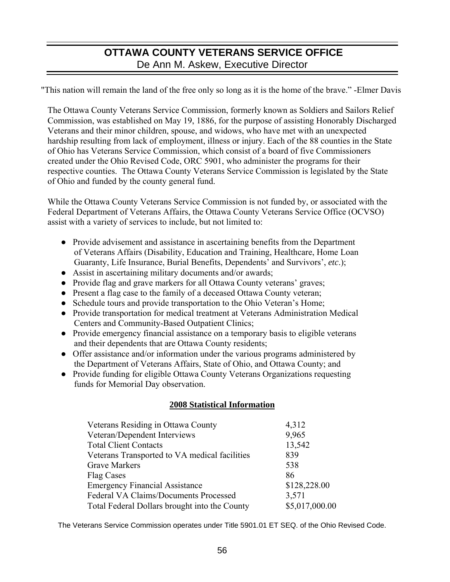# **OTTAWA COUNTY VETERANS SERVICE OFFICE**  De Ann M. Askew, Executive Director

"This nation will remain the land of the free only so long as it is the home of the brave." -Elmer Davis

The Ottawa County Veterans Service Commission, formerly known as Soldiers and Sailors Relief Commission, was established on May 19, 1886, for the purpose of assisting Honorably Discharged Veterans and their minor children, spouse, and widows, who have met with an unexpected hardship resulting from lack of employment, illness or injury. Each of the 88 counties in the State of Ohio has Veterans Service Commission, which consist of a board of five Commissioners created under the [Ohio Revised Code, ORC 5901,](http://onlinedocs.andersonpublishing.com/oh/lpExt.dll?f=templates&fn=main-h.htm&cp=PORC) who administer the programs for their respective counties. The Ottawa County Veterans Service Commission is legislated by the State of Ohio and funded by the county general fund.

While the Ottawa County Veterans Service Commission is not funded by, or associated with the Federal Department of Veterans Affairs, the Ottawa County Veterans Service Office (OCVSO) assist with a variety of services to include, but not limited to:

- Provide advisement and assistance in ascertaining benefits from the Department of Veterans Affairs (Disability, Education and Training, Healthcare, Home Loan Guaranty, Life Insurance, Burial Benefits, Dependents' and Survivors', *etc*.);
- Assist in ascertaining military documents and/or awards;
- Provide flag and grave markers for all Ottawa County veterans' graves;
- Present a flag case to the family of a deceased Ottawa County veteran;
- Schedule tours and provide transportation to the Ohio Veteran's Home;
- Provide transportation for medical treatment at Veterans Administration Medical Centers and Community-Based Outpatient Clinics;
- Provide emergency financial assistance on a temporary basis to eligible veterans and their dependents that are Ottawa County residents;
- Offer assistance and/or information under the various programs administered by the Department of Veterans Affairs, State of Ohio, and Ottawa County; and
- Provide funding for eligible Ottawa County Veterans Organizations requesting funds for Memorial Day observation.

### **2008 Statistical Information**

| Veterans Residing in Ottawa County            | 4,312          |
|-----------------------------------------------|----------------|
| Veteran/Dependent Interviews                  | 9,965          |
| <b>Total Client Contacts</b>                  | 13,542         |
| Veterans Transported to VA medical facilities | 839            |
| <b>Grave Markers</b>                          | 538            |
| <b>Flag Cases</b>                             | 86             |
| <b>Emergency Financial Assistance</b>         | \$128,228.00   |
| Federal VA Claims/Documents Processed         | 3,571          |
| Total Federal Dollars brought into the County | \$5,017,000.00 |

The Veterans Service Commission operates under Title 5901.01 ET SEQ. of the Ohio Revised Code.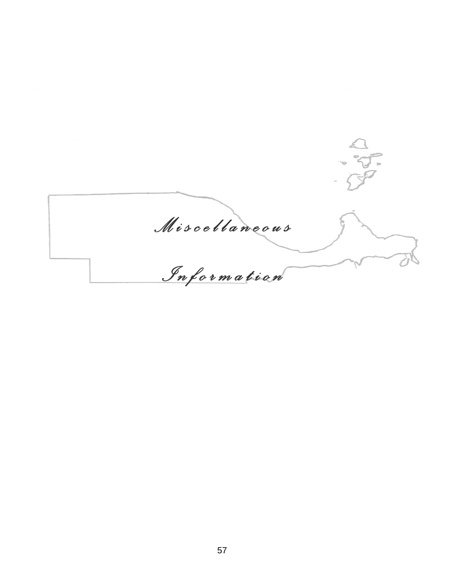$\frac{a}{3}$ *<u>*</u> *M i s c e l l a n e o u s I n f o r m a t i o n*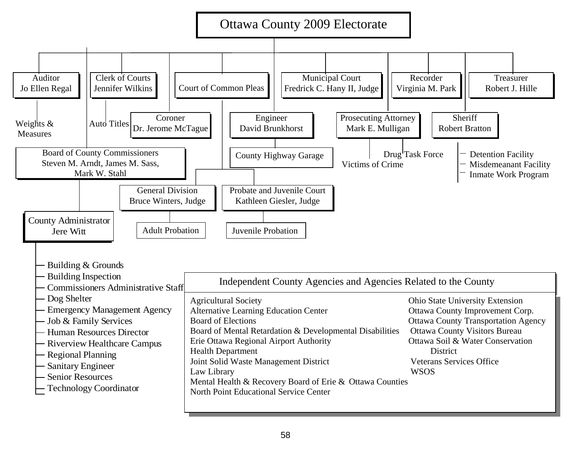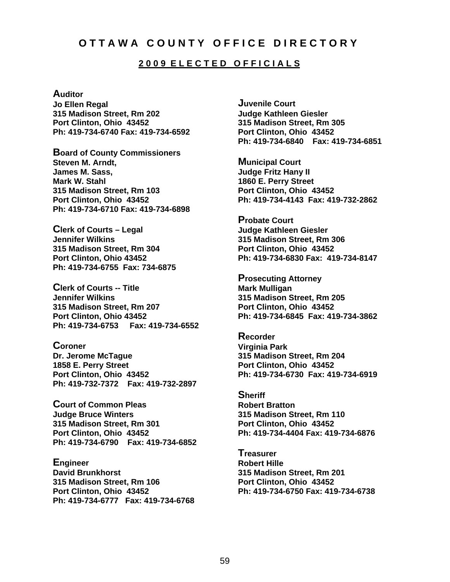### **O T T A W A C O U N T Y O F F I C E D I R E C T O R Y**

#### **2 0 0 9 E L E C T E D O F F I C I A L S**

#### **Auditor**

**Jo Ellen Regal 315 Madison Street, Rm 202 Port Clinton, Ohio 43452 Ph: 419-734-6740 Fax: 419-734-6592** 

**Board of County Commissioners Steven M. Arndt, James M. Sass, Mark W. Stahl 315 Madison Street, Rm 103 Port Clinton, Ohio 43452 Ph: 419-734-6710 Fax: 419-734-6898** 

**Clerk of Courts – Legal Jennifer Wilkins 315 Madison Street, Rm 304 Port Clinton, Ohio 43452 Ph: 419-734-6755 Fax: 734-6875** 

**Clerk of Courts -- Title Jennifer Wilkins 315 Madison Street, Rm 207 Port Clinton, Ohio 43452 Ph: 419-734-6753 Fax: 419-734-6552** 

**Coroner Dr. Jerome McTague 1858 E. Perry Street Port Clinton, Ohio 43452 Ph: 419-732-7372 Fax: 419-732-2897** 

**Court of Common Pleas Judge Bruce Winters 315 Madison Street, Rm 301 Port Clinton, Ohio 43452 Ph: 419-734-6790 Fax: 419-734-6852** 

**Engineer David Brunkhorst 315 Madison Street, Rm 106 Port Clinton, Ohio 43452 Ph: 419-734-6777 Fax: 419-734-6768** 

**Juvenile Court Judge Kathleen Giesler 315 Madison Street, Rm 305 Port Clinton, Ohio 43452 Ph: 419-734-6840 Fax: 419-734-6851** 

**Municipal Court Judge Fritz Hany II 1860 E. Perry Street Port Clinton, Ohio 43452 Ph: 419-734-4143 Fax: 419-732-2862** 

**Probate Court Judge Kathleen Giesler 315 Madison Street, Rm 306 Port Clinton, Ohio 43452 Ph: 419-734-6830 Fax: 419-734-8147** 

**Prosecuting Attorney Mark Mulligan 315 Madison Street, Rm 205 Port Clinton, Ohio 43452 Ph: 419-734-6845 Fax: 419-734-3862** 

**Recorder Virginia Park 315 Madison Street, Rm 204 Port Clinton, Ohio 43452 Ph: 419-734-6730 Fax: 419-734-6919** 

**Sheriff Robert Bratton 315 Madison Street, Rm 110 Port Clinton, Ohio 43452 Ph: 419-734-4404 Fax: 419-734-6876** 

**Treasurer Robert Hille 315 Madison Street, Rm 201 Port Clinton, Ohio 43452 Ph: 419-734-6750 Fax: 419-734-6738**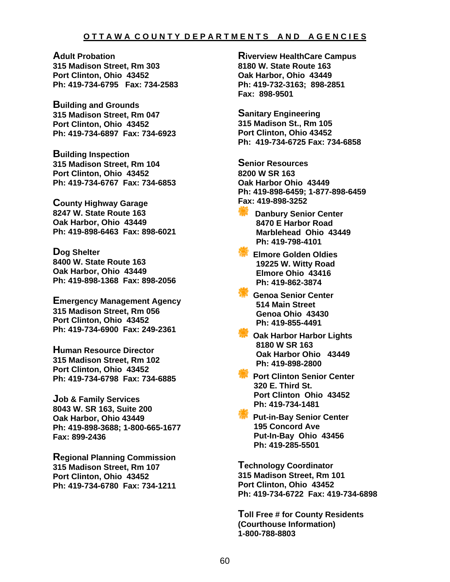#### **O T T A W A C O U N T Y D E P A R T M E N T S A N D A G E N C I E S**

**Adult Probation 315 Madison Street, Rm 303 Port Clinton, Ohio 43452 Ph: 419-734-6795 Fax: 734-2583** 

**Building and Grounds 315 Madison Street, Rm 047 Port Clinton, Ohio 43452 Ph: 419-734-6897 Fax: 734-6923** 

**Building Inspection 315 Madison Street, Rm 104 Port Clinton, Ohio 43452 Ph: 419-734-6767 Fax: 734-6853** 

**County Highway Garage 8247 W. State Route 163 Oak Harbor, Ohio 43449 Ph: 419-898-6463 Fax: 898-6021** 

**Dog Shelter 8400 W. State Route 163 Oak Harbor, Ohio 43449 Ph: 419-898-1368 Fax: 898-2056** 

**Emergency Management Agency 315 Madison Street, Rm 056 Port Clinton, Ohio 43452 Ph: 419-734-6900 Fax: 249-2361** 

**Human Resource Director 315 Madison Street, Rm 102 Port Clinton, Ohio 43452 Ph: 419-734-6798 Fax: 734-6885**

**Job & Family Services 8043 W. SR 163, Suite 200 Oak Harbor, Ohio 43449 Ph: 419-898-3688; 1-800-665-1677 Fax: 899-2436** 

**Regional Planning Commission 315 Madison Street, Rm 107 Port Clinton, Ohio 43452 Ph: 419-734-6780 Fax: 734-1211** 

**Riverview HealthCare Campus 8180 W. State Route 163 Oak Harbor, Ohio 43449 Ph: 419-732-3163; 898-2851 Fax: 898-9501** 

**Sanitary Engineering 315 Madison St., Rm 105 Port Clinton, Ohio 43452 Ph: 419-734-6725 Fax: 734-6858**

**Senior Resources 8200 W SR 163 Oak Harbor Ohio 43449 Ph: 419-898-6459; 1-877-898-6459 Fax: 419-898-3252** 

- **Danbury Senior Center 8470 E Harbor Road Marblehead Ohio 43449 Ph: 419-798-4101**
- **Elmore Golden Oldies 19225 W. Witty Road Elmore Ohio 43416 Ph: 419-862-3874**
- **Genoa Senior Center 514 Main Street Genoa Ohio 43430 Ph: 419-855-4491**
- **Oak Harbor Harbor Lights 8180 W SR 163 Oak Harbor Ohio 43449 Ph: 419-898-2800**
- **Port Clinton Senior Center 320 E. Third St. Port Clinton Ohio 43452 Ph: 419-734-1481**
- **Put-in-Bay Senior Center 195 Concord Ave Put-In-Bay Ohio 43456 Ph: 419-285-5501**

**Technology Coordinator 315 Madison Street, Rm 101 Port Clinton, Ohio 43452 Ph: 419-734-6722 Fax: 419-734-6898** 

**Toll Free # for County Residents (Courthouse Information) 1-800-788-8803**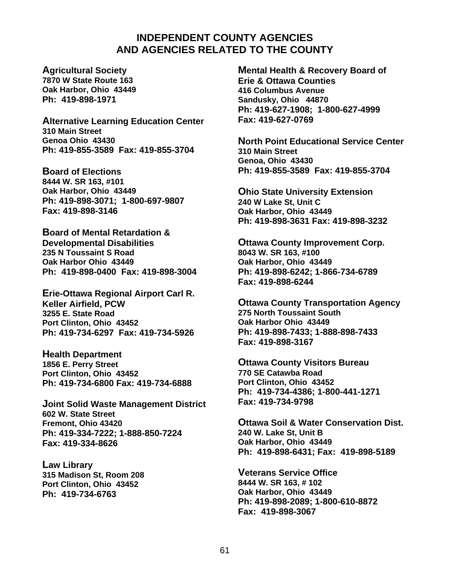### **INDEPENDENT COUNTY AGENCIES AND AGENCIES RELATED TO THE COUNTY**

**Agricultural Society 7870 W State Route 163 Oak Harbor, Ohio 43449 Ph: 419-898-1971** 

**Alternative Learning Education Center 310 Main Street Genoa Ohio 43430 Ph: 419-855-3589 Fax: 419-855-3704** 

**Board of Elections 8444 W. SR 163, #101 Oak Harbor, Ohio 43449 Ph: 419-898-3071; 1-800-697-9807 Fax: 419-898-3146** 

**Board of Mental Retardation & Developmental Disabilities 235 N Toussaint S Road Oak Harbor Ohio 43449 Ph: 419-898-0400 Fax: 419-898-3004** 

**Erie-Ottawa Regional Airport Carl R. Keller Airfield, PCW 3255 E. State Road Port Clinton, Ohio 43452 Ph: 419-734-6297 Fax: 419-734-5926** 

**Health Department 1856 E. Perry Street Port Clinton, Ohio 43452 Ph: 419-734-6800 Fax: 419-734-6888** 

**Joint Solid Waste Management District 602 W. State Street Fremont, Ohio 43420 Ph: 419-334-7222; 1-888-850-7224 Fax: 419-334-8626** 

**Law Library 315 Madison St, Room 208 Port Clinton, Ohio 43452 Ph: 419-734-6763** 

**Mental Health & Recovery Board of Erie & Ottawa Counties 416 Columbus Avenue Sandusky, Ohio 44870 Ph: 419-627-1908; 1-800-627-4999 Fax: 419-627-0769** 

**North Point Educational Service Center 310 Main Street Genoa, Ohio 43430 Ph: 419-855-3589 Fax: 419-855-3704** 

**Ohio State University Extension 240 W Lake St, Unit C Oak Harbor, Ohio 43449 Ph: 419-898-3631 Fax: 419-898-3232** 

**Ottawa County Improvement Corp. 8043 W. SR 163, #100 Oak Harbor, Ohio 43449 Ph: 419-898-6242; 1-866-734-6789 Fax: 419-898-6244**

**Ottawa County Transportation Agency 275 North Toussaint South Oak Harbor Ohio 43449 Ph: 419-898-7433; 1-888-898-7433 Fax: 419-898-3167**

**Ottawa County Visitors Bureau 770 SE Catawba Road Port Clinton, Ohio 43452 Ph: 419-734-4386; 1-800-441-1271 Fax: 419-734-9798**

**Ottawa Soil & Water Conservation Dist. 240 W. Lake St, Unit B Oak Harbor, Ohio 43449 Ph: 419-898-6431; Fax: 419-898-5189**

**Veterans Service Office 8444 W. SR 163, # 102 Oak Harbor, Ohio 43449 Ph: 419-898-2089; 1-800-610-8872 Fax: 419-898-3067**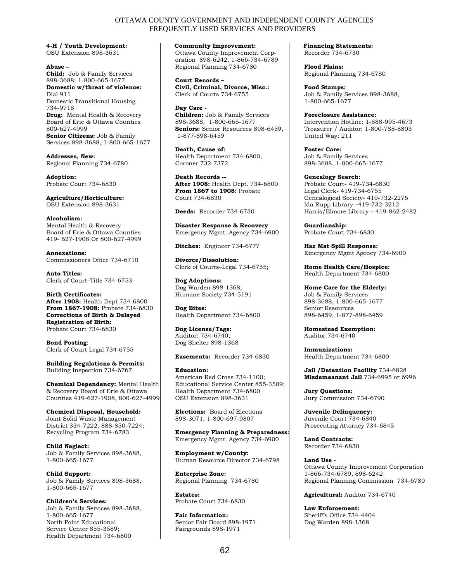#### OTTAWA COUNTY GOVERNMENT AND INDEPENDENT COUNTY AGENCIES FREQUENTLY USED SERVICES AND PROVIDERS

**4-H / Youth Development:** OSU Extension 898-3631

**Abuse – Child:** Job & Family Services 898-3688; 1-800-665-1677 **Domestic w/threat of violence:** Dial 911 Domestic Transitional Housing 734-9718 **Drug:** Mental Health & Recovery Board of Erie & Ottawa Counties 800-627-4999 **Senior Citizens:** Job & Family Services 898-3688, 1-800-665-1677

**Addresses, New:**  Regional Planning 734-6780

**Adoption:** Probate Court 734-6830

**Agriculture/Horticulture:** OSU Extension 898-3631

**Alcoholism:**  Mental Health & Recovery Board of Erie & Ottawa Counties 419- 627-1908 Or 800-627-4999

**Annexations:** Commissioners Office 734-6710

**Auto Titles:**  Clerk of Court–Title 734-6753

**Birth Certificates: After 1908:** Health Dept 734-6800 **From 1867-1908:** Probate 734-6830 **Corrections of Birth & Delayed Registration of Birth:**  Probate Court 734-6830

**Bond Posting**: Clerk of Court Legal 734-6755

**Building Regulations & Permits:** Building Inspection 734-6767

**Chemical Dependency:** Mental Health & Recovery Board of Erie & Ottawa Counties 419-627-1908, 800-627-4999

**Chemical Disposal, Household:** Joint Solid Waste Management District 334-7222, 888-850-7224; Recycling Program 734-6783

**Child Neglect:** Job & Family Services 898-3688, 1-800-665-1677

**Child Support:** Job & Family Services 898-3688, 1-800-665-1677

**Children's Services:** Job & Family Services 898-3688, 1-800-665-1677 North Point Educational Service Center 855-3589; Health Department 734-6800

 **Community Improvement:**

Ottawa County Improvement Corporation 898-6242, 1-866-734-6789 Regional Planning 734-6780

**Court Records – Civil, Criminal, Divorce, Misc.:**  Clerk of Courts 734-6755

**Day Care - Children:** Job & Family Services 898-3688, 1-800-665-1677 **Seniors:** Senior Resources 898-6459, 1-877-898-6459

**Death, Cause of:**  Health Department 734-6800; Coroner 732-7372

**Death Records -- After 1908:** Health Dept. 734-6800 **From 1867 to 1908:** Probate Court 734-6830

**Deeds:** Recorder 734-6730

**Disaster Response & Recovery** Emergency Mgmt. Agency 734-6900

**Ditches:** Engineer 734-6777

**Divorce/Dissolution:** Clerk of Courts–Legal 734-6755;

**Dog Adoptions:** Dog Warden 898-1368; Humane Society 734-5191

**Dog Bites:** Health Department 734-6800

**Dog License/Tags:**  Auditor: 734-6740; Dog Shelter 898-1368

**Easements:** Recorder 734-6830

**Education:**  American Red Cross 734-1100; Educational Service Center 855-3589; Health Department 734-6800 OSU Extension 898-3631

**Elections:** Board of Elections 898-3071, 1-800-697-9807

**Emergency Planning & Preparedness:** Emergency Mgmt. Agency 734-6900

**Employment w/County:** Human Resource Director 734-6798

**Enterprise Zone:** Regional Planning 734-6780

**Estates:** Probate Court 734-6830

**Fair Information:**  Senior Fair Board 898-1971 Fairgrounds 898-1971

 **Financing Statements:**  Recorder 734-6730

**Flood Plains:**  Regional Planning 734-6780

**Food Stamps:**  Job & Family Services 898-3688, 1-800-665-1677

**Foreclosure Assistance:**  Intervention Hotline: 1-888-995-4673 Treasurer / Auditor: 1-800-788-8803 United Way: 211

**Foster Care:** Job & Family Services 898-3688, 1-800-665-1677

**Genealogy Search:** Probate Court- 419-734-6830 Legal Clerk- 419-734-6755 Genealogical Society- 419-732-2276 Ida Rupp Library –419-732-3212 Harris/Elmore Library – 419-862-2482

**Guardianship:**  Probate Court 734-6830

**Haz Mat Spill Response:** Emergency Mgmt Agency 734-6900

**Home Health Care/Hospice:** Health Department 734-6800

**Home Care for the Elderly:** Job & Family Services

898-3688; 1-800-665-1677 Senior Resources 898-6459, 1-877-898-6459

**Homestead Exemption:** Auditor 734-6740

**Immunizations:** Health Department 734-6800

**Jail /Detention Facility** 734-6828 **Misdemeanant Jail** 734-6995 or 6996

**Jury Questions:**  Jury Commission 734-6790

**Juvenile Delinquency:**  Juvenile Court 734-6840 Prosecuting Attorney 734-6845

**Land Contracts:**  Recorder 734-6830

**Land Use -**  Ottawa County Improvement Corporation 1-866-734-6789, 898-6242 Regional Planning Commission 734-6780

**Agricultural:** Auditor 734-6740

**Law Enforcement:**  Sheriff's Office 734-4404 Dog Warden 898-1368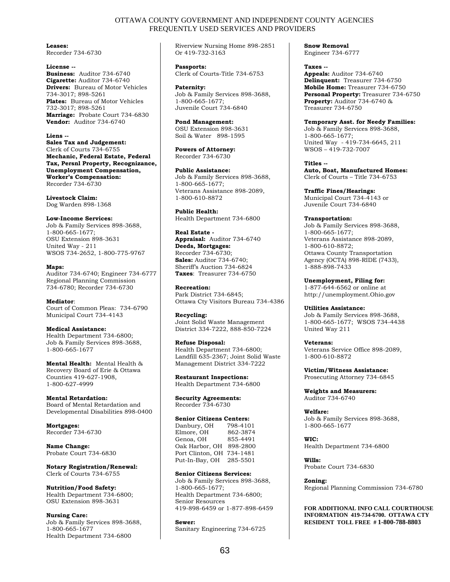#### OTTAWA COUNTY GOVERNMENT AND INDEPENDENT COUNTY AGENCIES FREQUENTLY USED SERVICES AND PROVIDERS

**Leases:** 

Recorder 734-6730

#### **License --**

**Business:** Auditor 734-6740 **Cigarette:** Auditor 734-6740 **Drivers:** Bureau of Motor Vehicles 734-3017; 898-5261 **Plates:** Bureau of Motor Vehicles 732-3017; 898-5261 **Marriage:** Probate Court 734-6830 **Vendor:** Auditor 734-6740

#### **Liens --**

**Sales Tax and Judgement:** Clerk of Courts 734-6755 **Mechanic, Federal Estate, Federal Tax, Persnl Property, Recognizance, Unemployment Compensation, Worker's Compensation:** Recorder 734-6730

**Livestock Claim:**  Dog Warden 898-1368

#### **Low-Income Services:**

Job & Family Services 898-3688, 1-800-665-1677; OSU Extension 898-3631 United Way - 211 WSOS 734-2652, 1-800-775-9767

**Maps:**  Auditor 734-6740; Engineer 734-6777 Regional Planning Commission 734-6780; Recorder 734-6730

#### **Mediator**:

Court of Common Pleas: 734-6790 Municipal Court 734-4143

#### **Medical Assistance:**

Health Department 734-6800; Job & Family Services 898-3688, 1-800-665-1677

**Mental Health:** Mental Health & Recovery Board of Erie & Ottawa Counties 419-627-1908, 1-800-627-4999

#### **Mental Retardation:**

Board of Mental Retardation and Developmental Disabilities 898-0400

**Mortgages:**  Recorder 734-6730

**Name Change:** Probate Court 734-6830

**Notary Registration/Renewal:** Clerk of Courts 734-6755

#### **Nutrition/Food Safety:**

Health Department 734-6800; OSU Extension 898-3631

**Nursing Care:**

Job & Family Services 898-3688, 1-800-665-1677 Health Department 734-6800

Riverview Nursing Home 898-2851 Or 419-732-3163

**Passports:** Clerk of Courts-Title 734-6753

**Paternity:** Job & Family Services 898-3688, 1-800-665-1677; Juvenile Court 734-6840

**Pond Management:** OSU Extension 898-3631 Soil & Water 898-1595

**Powers of Attorney:** Recorder 734-6730

**Public Assistance:** Job & Family Services 898-3688, 1-800-665-1677; Veterans Assistance 898-2089, 1-800-610-8872

**Public Health:** Health Department 734-6800

**Real Estate - Appraisal:** Auditor 734-6740 **Deeds, Mortgages:** Recorder 734-6730; **Sales:** Auditor 734-6740; Sheriff's Auction 734-6824 **Taxes**: Treasurer 734-6750

**Recreation:** Park District 734-6845; Ottawa Cty Visitors Bureau 734-4386

**Recycling:** Joint Solid Waste Management District 334-7222, 888-850-7224

#### **Refuse Disposal:**

Health Department 734-6800; Landfill 635-2367; Joint Solid Waste Management District 334-7222

**Restaurant Inspections:** Health Department 734-6800

#### **Security Agreements:**

Recorder 734-6730

#### **Senior Citizens Centers:**

| Danbury, OH      | 798-4101 |
|------------------|----------|
| Elmore, OH       | 862-3874 |
| Genoa, OH        | 855-4491 |
| Oak Harbor, OH   | 898-2800 |
| Port Clinton, OH | 734-1481 |
| Put-In-Bay, OH   | 285-5501 |

**Senior Citizens Services:**

Job & Family Services 898-3688, 1-800-665-1677; Health Department 734-6800; Senior Resources 419-898-6459 or 1-877-898-6459

**Sewer:** Sanitary Engineering 734-6725 **Snow Removal** Engineer 734-6777

**Taxes -- Appeals:** Auditor 734-6740 **Delinquent:** Treasurer 734-6750 **Mobile Home:** Treasurer 734-6750 **Personal Property:** Treasurer 734-6750 **Property:** Auditor 734-6740 & Treasurer 734-6750

**Temporary Asst. for Needy Families:** Job & Family Services 898-3688, 1-800-665-1677; United Way - 419-734-6645, 211 WSOS – 419-732-7007

**Titles -- Auto, Boat, Manufactured Homes:**  Clerk of Courts – Title 734-6753

**Traffic Fines/Hearings:**  Municipal Court 734-4143 or Juvenile Court 734-6840

**Transportation:**

Job & Family Services 898-3688, 1-800-665-1677; Veterans Assistance 898-2089, 1-800-610-8872; Ottawa County Transportation Agency (OCTA) 898-RIDE (7433), 1-888-898-7433

**Unemployment, Filing for:**  1-877-644-6562 or online at http://unemployment.Ohio.gov

**Utilities Assistance:**

Job & Family Services 898-3688, 1-800-665-1677; WSOS 734-4438 United Way 211

**Veterans:** Veterans Service Office 898-2089, 1-800-610-8872

**Victim/Witness Assistance:** Prosecuting Attorney 734-6845

**Weights and Measurers:** Auditor 734-6740

**Welfare:** Job & Family Services 898-3688, 1-800-665-1677

**WIC:**  Health Department 734-6800

**Wills:** Probate Court 734-6830

**Zoning:** Regional Planning Commission 734-6780

**FOR ADDITIONAL INFO CALL COURTHOUSE INFORMATION 419-734-6700. OTTAWA CTY RESIDENT TOLL FREE # 1-800-788-8803**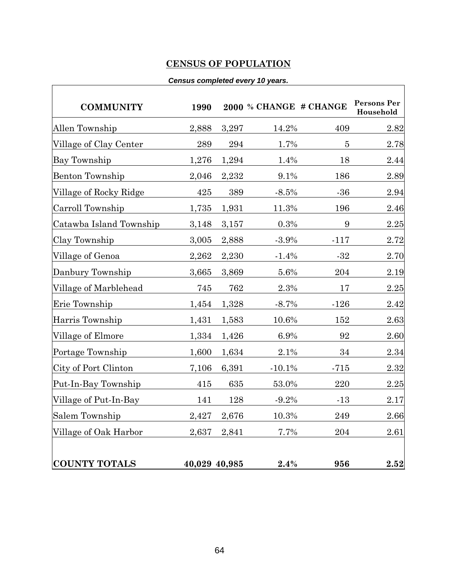# **CENSUS OF POPULATION**

#### *Census completed every 10 years.*

|       | ,,,,,,,,,,,, |               |                  |                                       |
|-------|--------------|---------------|------------------|---------------------------------------|
| 1990  |              |               |                  | Persons Per<br>Household              |
| 2,888 | 3,297        | 14.2%         | 409              | 2.82                                  |
| 289   | 294          | 1.7%          | $\overline{5}$   | 2.78                                  |
| 1,276 | 1,294        | 1.4%          | 18               | 2.44                                  |
| 2,046 | 2,232        | 9.1%          | 186              | 2.89                                  |
| 425   | 389          | $-8.5%$       | $-36$            | 2.94                                  |
| 1,735 | 1,931        | 11.3%         | 196              | 2.46                                  |
| 3,148 | 3,157        | 0.3%          | $\boldsymbol{9}$ | 2.25                                  |
| 3,005 | 2,888        | $-3.9%$       | $-117$           | 2.72                                  |
| 2,262 | 2,230        | $-1.4%$       | $-32$            | 2.70                                  |
| 3,665 | 3,869        | 5.6%          | 204              | 2.19                                  |
| 745   | 762          | 2.3%          | 17               | 2.25                                  |
| 1,454 | 1,328        | $-8.7%$       | $-126$           | 2.42                                  |
| 1,431 | 1,583        | 10.6%         | 152              | 2.63                                  |
| 1,334 | 1,426        | 6.9%          | 92               | 2.60                                  |
| 1,600 | 1,634        | 2.1%          | 34               | 2.34                                  |
| 7,106 | 6,391        | $-10.1%$      | $-715$           | 2.32                                  |
| 415   | 635          | 53.0%         | 220              | 2.25                                  |
| 141   | 128          | $-9.2%$       | $-13$            | 2.17                                  |
| 2,427 | 2,676        | 10.3%         | 249              | 2.66                                  |
| 2,637 | 2,841        |               | 204              | 2.61                                  |
|       |              |               |                  | 2.52                                  |
|       |              | 40,029 40,985 | 2.4%             | 2000 % CHANGE # CHANGE<br>7.7%<br>956 |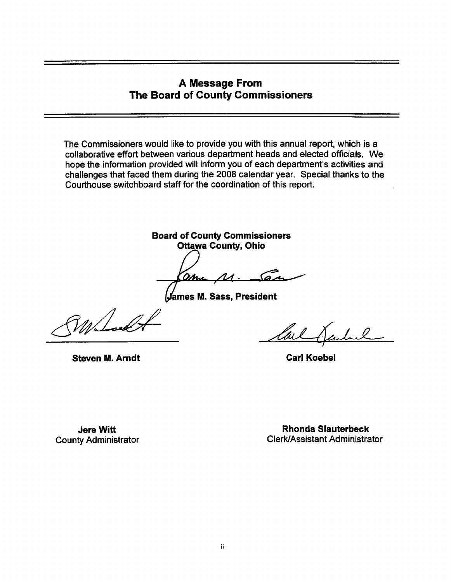### **A Message From The Board of County Commissioners**

The Commissioners would like to provide you with this annual report, which is a collaborative effort between various department heads and elected officials. We hope the information provided will inform you of each department's activities and challenges that faced them during the 2008 calendar year. Special thanks to the Courthouse switchboard staff for the coordination of this report.

**Board of County Commissioners Ottawa County, Ohio** 

<u> ami</u>  $M - 5a$ 

**James M. Sass, President** 

 $V$ M $\sqrt{ }$ 

lu l

**Steven M. Arndt** 

**Carl Koebel** 

**Jere Witt County Administrator** 

**Rhonda Slauterbeck Clerk/Assistant Administrator**